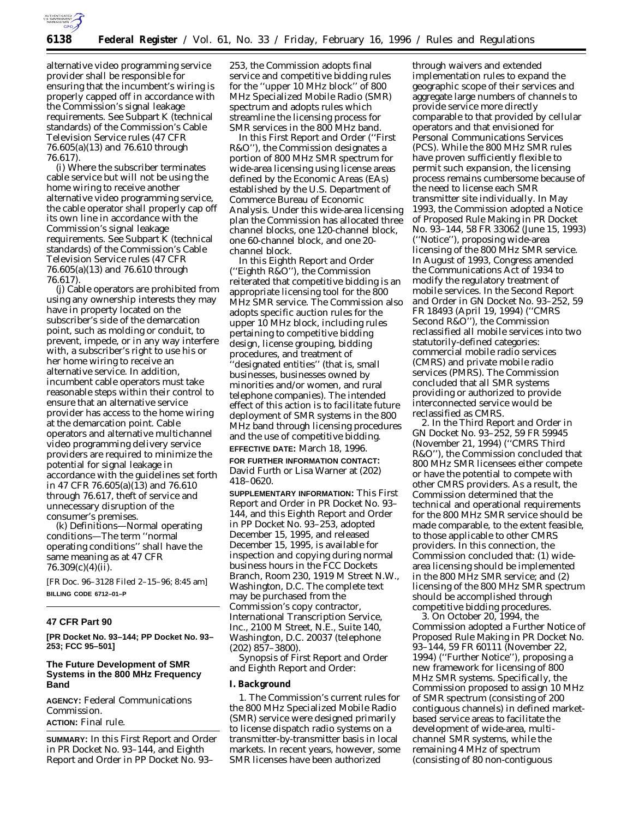

alternative video programming service provider shall be responsible for ensuring that the incumbent's wiring is properly capped off in accordance with the Commission's signal leakage requirements. See Subpart K (technical standards) of the Commission's Cable Television Service rules (47 CFR 76.605(a)(13) and 76.610 through 76.617).

(i) Where the subscriber terminates cable service but will not be using the home wiring to receive another alternative video programming service, the cable operator shall properly cap off its own line in accordance with the Commission's signal leakage requirements. See Subpart K (technical standards) of the Commission's Cable Television Service rules (47 CFR 76.605(a)(13) and 76.610 through 76.617).

(j) Cable operators are prohibited from using any ownership interests they may have in property located on the subscriber's side of the demarcation point, such as molding or conduit, to prevent, impede, or in any way interfere with, a subscriber's right to use his or her home wiring to receive an alternative service. In addition, incumbent cable operators must take reasonable steps within their control to ensure that an alternative service provider has access to the home wiring at the demarcation point. Cable operators and alternative multichannel video programming delivery service providers are required to minimize the potential for signal leakage in accordance with the guidelines set forth in 47 CFR 76.605(a)(13) and 76.610 through 76.617, theft of service and unnecessary disruption of the consumer's premises.

(k) Definitions—Normal operating conditions—The term ''normal operating conditions'' shall have the same meaning as at 47 CFR 76.309(c)(4)(ii).

[FR Doc. 96–3128 Filed 2–15–96; 8:45 am] **BILLING CODE 6712–01–P**

## **47 CFR Part 90**

**[PR Docket No. 93–144; PP Docket No. 93– 253; FCC 95–501]**

## **The Future Development of SMR Systems in the 800 MHz Frequency Band**

**AGENCY:** Federal Communications Commission.

**ACTION:** Final rule.

**SUMMARY:** In this *First Report* and Order in PR Docket No. 93–144, and *Eighth Report* and Order in PP Docket No. 93–

253, the Commission adopts final service and competitive bidding rules for the ''upper 10 MHz block'' of 800 MHz Specialized Mobile Radio (SMR) spectrum and adopts rules which streamline the licensing process for SMR services in the 800 MHz band.

In this *First Report and Order* (''*First R&O*''), the Commission designates a portion of 800 MHz SMR spectrum for wide-area licensing using license areas defined by the Economic Areas (EAs) established by the U.S. Department of Commerce Bureau of Economic Analysis. Under this wide-area licensing plan the Commission has allocated three channel blocks, one 120-channel block, one 60-channel block, and one 20 channel block.

In this *Eighth Report and Order* (''*Eighth R&O*''), the Commission reiterated that competitive bidding is an appropriate licensing tool for the 800 MHz SMR service. The Commission also adopts specific auction rules for the upper 10 MHz block, including rules pertaining to competitive bidding design, license grouping, bidding procedures, and treatment of 'designated entities'' (that is, small businesses, businesses owned by minorities and/or women, and rural telephone companies). The intended effect of this action is to facilitate future deployment of SMR systems in the 800 MHz band through licensing procedures and the use of competitive bidding.

# **EFFECTIVE DATE:** March 18, 1996.

**FOR FURTHER INFORMATION CONTACT:** David Furth or Lisa Warner at (202) 418–0620.

**SUPPLEMENTARY INFORMATION:** This *First Report and Order* in PR Docket No. 93– 144, and this *Eighth Report and Order* in PP Docket No. 93–253, adopted December 15, 1995, and released December 15, 1995, is available for inspection and copying during normal business hours in the FCC Dockets Branch, Room 230, 1919 M Street N.W., Washington, D.C. The complete text may be purchased from the Commission's copy contractor, International Transcription Service, Inc., 2100 M Street, N.E., Suite 140, Washington, D.C. 20037 (telephone (202) 857–3800).

Synopsis of *First Report and Order* and *Eighth Report and Order:*

## **I. Background**

1. The Commission's current rules for the 800 MHz Specialized Mobile Radio (SMR) service were designed primarily to license dispatch radio systems on a transmitter-by-transmitter basis in local markets. In recent years, however, some SMR licenses have been authorized

through waivers and extended implementation rules to expand the geographic scope of their services and aggregate large numbers of channels to provide service more directly comparable to that provided by cellular operators and that envisioned for Personal Communications Services (PCS). While the 800 MHz SMR rules have proven sufficiently flexible to permit such expansion, the licensing process remains cumbersome because of the need to license each SMR transmitter site individually. In May 1993, the Commission adopted a *Notice of Proposed Rule Making* in PR Docket No. 93–144, 58 FR 33062 (June 15, 1993) (''*Notice*''), proposing wide-area licensing of the 800 MHz SMR service. In August of 1993, Congress amended the Communications Act of 1934 to modify the regulatory treatment of mobile services. In the *Second Report and Order* in GN Docket No. 93–252, 59 FR 18493 (April 19, 1994) (''*CMRS Second R&O*''), the Commission reclassified all mobile services into two statutorily-defined categories: commercial mobile radio services (CMRS) and private mobile radio services (PMRS). The Commission concluded that all SMR systems providing or authorized to provide interconnected service would be reclassified as CMRS.

2. In the *Third Report and Order* in GN Docket No. 93–252, 59 FR 59945 (November 21, 1994) (''*CMRS Third R&O*''), the Commission concluded that 800 MHz SMR licensees either compete or have the potential to compete with other CMRS providers. As a result, the Commission determined that the technical and operational requirements for the 800 MHz SMR service should be made comparable, to the extent feasible, to those applicable to other CMRS providers. In this connection, the Commission concluded that: (1) widearea licensing should be implemented in the 800 MHz SMR service; and (2) licensing of the 800 MHz SMR spectrum should be accomplished through competitive bidding procedures.

3. On October 20, 1994, the Commission adopted a *Further Notice of Proposed Rule Making* in PR Docket No. 93–144, 59 FR 60111 (November 22, 1994) (''*Further Notice*''), proposing a new framework for licensing of 800 MHz SMR systems. Specifically, the Commission proposed to assign 10 MHz of SMR spectrum (consisting of 200 contiguous channels) in defined marketbased service areas to facilitate the development of wide-area, multichannel SMR systems, while the remaining 4 MHz of spectrum (consisting of 80 non-contiguous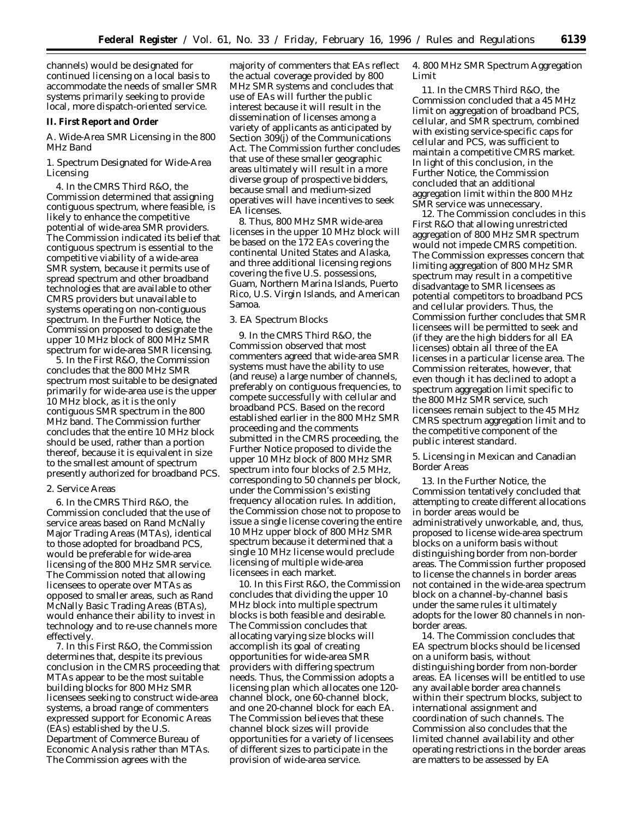channels) would be designated for continued licensing on a local basis to accommodate the needs of smaller SMR systems primarily seeking to provide local, more dispatch-oriented service.

#### **II. First Report and Order**

## *A. Wide-Area SMR Licensing in the 800 MHz Band*

1. Spectrum Designated for Wide-Area Licensing

4. In the *CMRS Third R&O,* the Commission determined that assigning contiguous spectrum, where feasible, is likely to enhance the competitive potential of wide-area SMR providers. The Commission indicated its belief that contiguous spectrum is essential to the competitive viability of a wide-area SMR system, because it permits use of spread spectrum and other broadband technologies that are available to other CMRS providers but unavailable to systems operating on non-contiguous spectrum. In the *Further Notice*, the Commission proposed to designate the upper 10 MHz block of 800 MHz SMR spectrum for wide-area SMR licensing.

5. In the *First R&O,* the Commission concludes that the 800 MHz SMR spectrum most suitable to be designated primarily for wide-area use is the upper 10 MHz block, as it is the only contiguous SMR spectrum in the 800 MHz band. The Commission further concludes that the entire 10 MHz block should be used, rather than a portion thereof, because it is equivalent in size to the smallest amount of spectrum presently authorized for broadband PCS.

# 2. Service Areas

6. In the *CMRS Third R&O,* the Commission concluded that the use of service areas based on Rand McNally Major Trading Areas (MTAs), identical to those adopted for broadband PCS, would be preferable for wide-area licensing of the 800 MHz SMR service. The Commission noted that allowing licensees to operate over MTAs as opposed to smaller areas, such as Rand McNally Basic Trading Areas (BTAs), would enhance their ability to invest in technology and to re-use channels more effectively.

7. In this *First R&O,* the Commission determines that, despite its previous conclusion in the CMRS proceeding that MTAs appear to be the most suitable building blocks for 800 MHz SMR licensees seeking to construct wide-area systems, a broad range of commenters expressed support for Economic Areas (EAs) established by the U.S. Department of Commerce Bureau of Economic Analysis rather than MTAs. The Commission agrees with the

majority of commenters that EAs reflect the actual coverage provided by 800 MHz SMR systems and concludes that use of EAs will further the public interest because it will result in the dissemination of licenses among a variety of applicants as anticipated by Section 309(j) of the Communications Act. The Commission further concludes that use of these smaller geographic areas ultimately will result in a more diverse group of prospective bidders, because small and medium-sized operatives will have incentives to seek EA licenses.

8. Thus, 800 MHz SMR wide-area licenses in the upper 10 MHz block will be based on the 172 EAs covering the continental United States and Alaska, and three additional licensing regions covering the five U.S. possessions, Guam, Northern Marina Islands, Puerto Rico, U.S. Virgin Islands, and American Samoa.

#### 3. EA Spectrum Blocks

9. In the *CMRS Third R&O,* the Commission observed that most commenters agreed that wide-area SMR systems must have the ability to use (and reuse) a large number of channels, preferably on contiguous frequencies, to compete successfully with cellular and broadband PCS. Based on the record established earlier in the 800 MHz SMR proceeding and the comments submitted in the CMRS proceeding, the *Further Notice* proposed to divide the upper 10 MHz block of 800 MHz SMR spectrum into four blocks of 2.5 MHz, corresponding to 50 channels per block, under the Commission's existing frequency allocation rules. In addition, the Commission chose not to propose to issue a single license covering the entire 10 MHz upper block of 800 MHz SMR spectrum because it determined that a single 10 MHz license would preclude licensing of multiple wide-area licensees in each market.

10. In this *First R&O,* the Commission concludes that dividing the upper 10 MHz block into multiple spectrum blocks is both feasible and desirable. The Commission concludes that allocating varying size blocks will accomplish its goal of creating opportunities for wide-area SMR providers with differing spectrum needs. Thus, the Commission adopts a licensing plan which allocates one 120 channel block, one 60-channel block, and one 20-channel block for each EA. The Commission believes that these channel block sizes will provide opportunities for a variety of licensees of different sizes to participate in the provision of wide-area service.

4. 800 MHz SMR Spectrum Aggregation Limit

11. In the *CMRS Third R&O,* the Commission concluded that a 45 MHz limit on aggregation of broadband PCS, cellular, and SMR spectrum, combined with existing service-specific caps for cellular and PCS, was sufficient to maintain a competitive CMRS market. In light of this conclusion, in the *Further Notice,* the Commission concluded that an additional aggregation limit within the 800 MHz SMR service was unnecessary.

12. The Commission concludes in this *First R&O* that allowing unrestricted aggregation of 800 MHz SMR spectrum would not impede CMRS competition. The Commission expresses concern that limiting aggregation of 800 MHz SMR spectrum may result in a competitive disadvantage to SMR licensees as potential competitors to broadband PCS and cellular providers. Thus, the Commission further concludes that SMR licensees will be permitted to seek and (if they are the high bidders for all EA licenses) obtain all three of the EA licenses in a particular license area. The Commission reiterates, however, that even though it has declined to adopt a spectrum aggregation limit specific to the 800 MHz SMR service, such licensees remain subject to the 45 MHz CMRS spectrum aggregation limit and to the competitive component of the public interest standard.

5. Licensing in Mexican and Canadian Border Areas

13. In the *Further Notice,* the Commission tentatively concluded that attempting to create different allocations in border areas would be administratively unworkable, and, thus, proposed to license wide-area spectrum blocks on a uniform basis without distinguishing border from non-border areas. The Commission further proposed to license the channels in border areas not contained in the wide-area spectrum block on a channel-by-channel basis under the same rules it ultimately adopts for the lower 80 channels in nonborder areas.

14. The Commission concludes that EA spectrum blocks should be licensed on a uniform basis, without distinguishing border from non-border areas. EA licenses will be entitled to use any available border area channels within their spectrum blocks, subject to international assignment and coordination of such channels. The Commission also concludes that the limited channel availability and other operating restrictions in the border areas are matters to be assessed by EA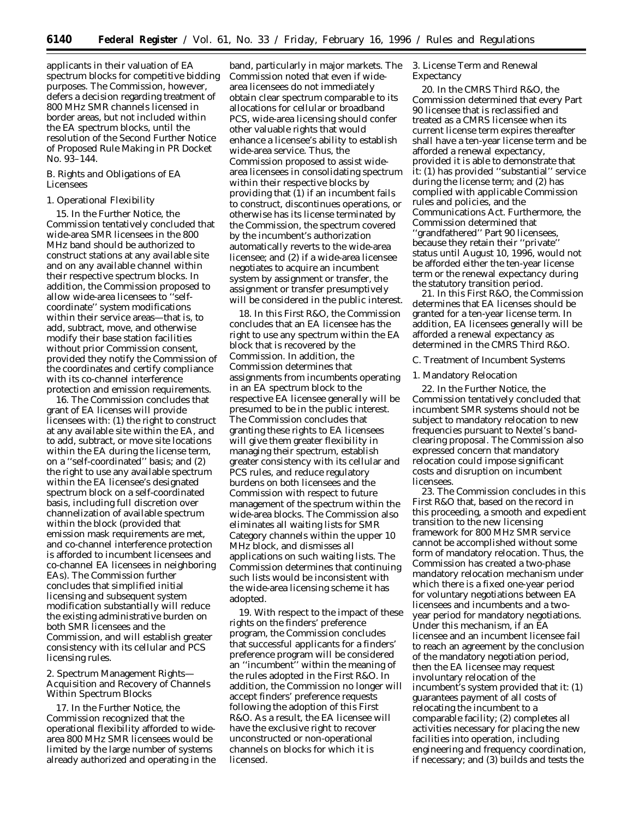applicants in their valuation of EA spectrum blocks for competitive bidding purposes. The Commission, however, defers a decision regarding treatment of 800 MHz SMR channels licensed in border areas, but not included within the EA spectrum blocks, until the resolution of the *Second Further Notice of Proposed Rule Making* in PR Docket No. 93–144.

# *B. Rights and Obligations of EA Licensees*

# 1. Operational Flexibility

15. In the *Further Notice,* the Commission tentatively concluded that wide-area SMR licensees in the 800 MHz band should be authorized to construct stations at any available site and on any available channel within their respective spectrum blocks. In addition, the Commission proposed to allow wide-area licensees to ''selfcoordinate'' system modifications within their service areas—that is, to add, subtract, move, and otherwise modify their base station facilities without prior Commission consent, provided they notify the Commission of the coordinates and certify compliance with its co-channel interference protection and emission requirements.

16. The Commission concludes that grant of EA licenses will provide licensees with: (1) the right to construct at any available site within the EA, and to add, subtract, or move site locations within the EA during the license term, on a ''self-coordinated'' basis; and (2) the right to use any available spectrum within the EA licensee's designated spectrum block on a self-coordinated basis, including full discretion over channelization of available spectrum within the block (provided that emission mask requirements are met, and co-channel interference protection is afforded to incumbent licensees and co-channel EA licensees in neighboring EAs). The Commission further concludes that simplified initial licensing and subsequent system modification substantially will reduce the existing administrative burden on both SMR licensees and the Commission, and will establish greater consistency with its cellular and PCS licensing rules.

2. Spectrum Management Rights— Acquisition and Recovery of Channels Within Spectrum Blocks

17. In the *Further Notice,* the Commission recognized that the operational flexibility afforded to widearea 800 MHz SMR licensees would be limited by the large number of systems already authorized and operating in the band, particularly in major markets. The Commission noted that even if widearea licensees do not immediately obtain clear spectrum comparable to its allocations for cellular or broadband PCS, wide-area licensing should confer other valuable rights that would enhance a licensee's ability to establish wide-area service. Thus, the Commission proposed to assist widearea licensees in consolidating spectrum within their respective blocks by providing that (1) if an incumbent fails to construct, discontinues operations, or otherwise has its license terminated by the Commission, the spectrum covered by the incumbent's authorization automatically reverts to the wide-area licensee; and (2) if a wide-area licensee negotiates to acquire an incumbent system by assignment or transfer, the assignment or transfer presumptively will be considered in the public interest.

18. In this *First R&O,* the Commission concludes that an EA licensee has the right to use any spectrum within the EA block that is recovered by the Commission. In addition, the Commission determines that assignments from incumbents operating in an EA spectrum block to the respective EA licensee generally will be presumed to be in the public interest. The Commission concludes that granting these rights to EA licensees will give them greater flexibility in managing their spectrum, establish greater consistency with its cellular and PCS rules, and reduce regulatory burdens on both licensees and the Commission with respect to future management of the spectrum within the wide-area blocks. The Commission also eliminates all waiting lists for SMR Category channels within the upper 10 MHz block, and dismisses all applications on such waiting lists. The Commission determines that continuing such lists would be inconsistent with the wide-area licensing scheme it has adopted.

19. With respect to the impact of these rights on the finders' preference program, the Commission concludes that successful applicants for a finders' preference program will be considered an ''incumbent'' within the meaning of the rules adopted in the *First R&O.* In addition, the Commission no longer will accept finders' preference requests following the adoption of this *First R&O.* As a result, the EA licensee will have the exclusive right to recover unconstructed or non-operational channels on blocks for which it is licensed.

3. License Term and Renewal Expectancy

20. In the *CMRS Third R&O,* the Commission determined that every Part 90 licensee that is reclassified and treated as a CMRS licensee when its current license term expires thereafter shall have a ten-year license term and be afforded a renewal expectancy, provided it is able to demonstrate that it: (1) has provided ''substantial'' service during the license term; and (2) has complied with applicable Commission rules and policies, and the Communications Act. Furthermore, the Commission determined that 'grandfathered'' Part 90 licensees, because they retain their ''private'' status until August 10, 1996, would not be afforded either the ten-year license term or the renewal expectancy during the statutory transition period.

21. In this *First R&O,* the Commission determines that EA licenses should be granted for a ten-year license term. In addition, EA licensees generally will be afforded a renewal expectancy as determined in the *CMRS Third R&O.*

#### *C. Treatment of Incumbent Systems*

## 1. Mandatory Relocation

22. In the *Further Notice,* the Commission tentatively concluded that incumbent SMR systems should not be subject to mandatory relocation to new frequencies pursuant to Nextel's bandclearing proposal. The Commission also expressed concern that mandatory relocation could impose significant costs and disruption on incumbent licensees.

23. The Commission concludes in this *First R&O* that, based on the record in this proceeding, a smooth and expedient transition to the new licensing framework for 800 MHz SMR service cannot be accomplished without some form of mandatory relocation. Thus, the Commission has created a two-phase mandatory relocation mechanism under which there is a fixed one-year period for voluntary negotiations between EA licensees and incumbents and a twoyear period for mandatory negotiations. Under this mechanism, if an EA licensee and an incumbent licensee fail to reach an agreement by the conclusion of the mandatory negotiation period, then the EA licensee may request involuntary relocation of the incumbent's system provided that it: (1) guarantees payment of all costs of relocating the incumbent to a comparable facility; (2) completes all activities necessary for placing the new facilities into operation, including engineering and frequency coordination, if necessary; and (3) builds and tests the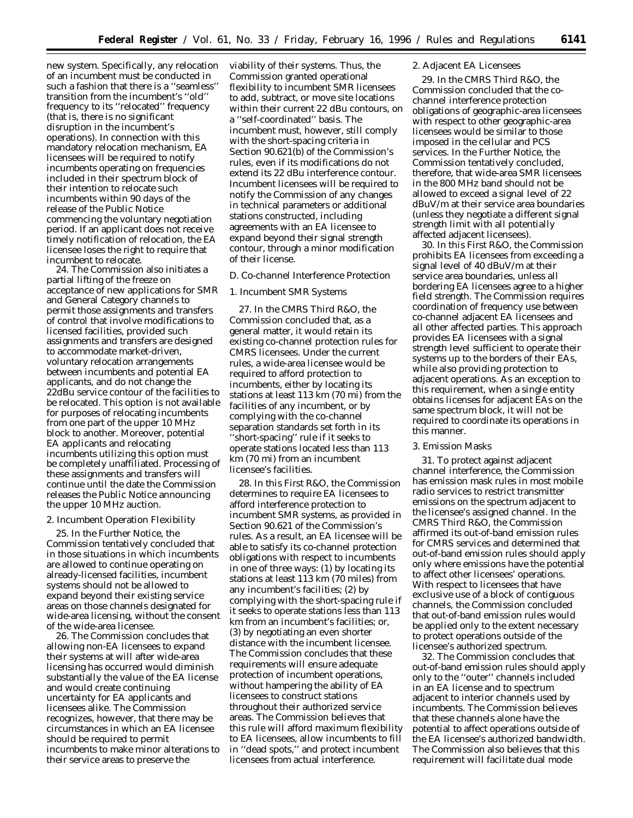new system. Specifically, any relocation of an incumbent must be conducted in such a fashion that there is a ''seamless'' transition from the incumbent's ''old'' frequency to its ''relocated'' frequency (that is, there is no significant disruption in the incumbent's operations). In connection with this mandatory relocation mechanism, EA licensees will be required to notify incumbents operating on frequencies included in their spectrum block of their intention to relocate such incumbents within 90 days of the release of the Public Notice commencing the voluntary negotiation period. If an applicant does not receive timely notification of relocation, the EA licensee loses the right to require that incumbent to relocate.

24. The Commission also initiates a partial lifting of the freeze on acceptance of new applications for SMR and General Category channels to permit those assignments and transfers of control that involve modifications to licensed facilities, provided such assignments and transfers are designed to accommodate market-driven, voluntary relocation arrangements between incumbents and potential EA applicants, and do not change the 22dBu service contour of the facilities to be relocated. This option is not available for purposes of relocating incumbents from one part of the upper 10 MHz block to another. Moreover, potential EA applicants and relocating incumbents utilizing this option must be completely unaffiliated. Processing of these assignments and transfers will continue until the date the Commission releases the Public Notice announcing the upper 10 MHz auction.

## 2. Incumbent Operation Flexibility

25. In the *Further Notice,* the Commission tentatively concluded that in those situations in which incumbents are allowed to continue operating on already-licensed facilities, incumbent systems should not be allowed to expand beyond their existing service areas on those channels designated for wide-area licensing, without the consent of the wide-area licensee.

26. The Commission concludes that allowing non-EA licensees to expand their systems at will after wide-area licensing has occurred would diminish substantially the value of the EA license and would create continuing uncertainty for EA applicants and licensees alike. The Commission recognizes, however, that there may be circumstances in which an EA licensee should be required to permit incumbents to make minor alterations to their service areas to preserve the

viability of their systems. Thus, the Commission granted operational flexibility to incumbent SMR licensees to add, subtract, or move site locations within their current 22 dBu contours, on a ''self-coordinated'' basis. The incumbent must, however, still comply with the short-spacing criteria in Section 90.621(b) of the Commission's rules, even if its modifications do not extend its 22 dBu interference contour. Incumbent licensees will be required to notify the Commission of any changes in technical parameters or additional stations constructed, including agreements with an EA licensee to expand beyond their signal strength contour, through a minor modification of their license.

# *D. Co-channel Interference Protection*

# 1. Incumbent SMR Systems

27. In the *CMRS Third R&O,* the Commission concluded that, as a general matter, it would retain its existing co-channel protection rules for CMRS licensees. Under the current rules, a wide-area licensee would be required to afford protection to incumbents, either by locating its stations at least 113 km (70 mi) from the facilities of any incumbent, or by complying with the co-channel separation standards set forth in its ''short-spacing'' rule if it seeks to operate stations located less than 113 km (70 mi) from an incumbent licensee's facilities.

28. In this *First R&O,* the Commission determines to require EA licensees to afford interference protection to incumbent SMR systems, as provided in Section 90.621 of the Commission's rules. As a result, an EA licensee will be able to satisfy its co-channel protection obligations with respect to incumbents in one of three ways: (1) by locating its stations at least 113 km (70 miles) from any incumbent's facilities; (2) by complying with the short-spacing rule if it seeks to operate stations less than 113 km from an incumbent's facilities; or, (3) by negotiating an even shorter distance with the incumbent licensee. The Commission concludes that these requirements will ensure adequate protection of incumbent operations, without hampering the ability of EA licensees to construct stations throughout their authorized service areas. The Commission believes that this rule will afford maximum flexibility to EA licensees, allow incumbents to fill in ''dead spots,'' and protect incumbent licensees from actual interference.

# 2. Adjacent EA Licensees

29. In the *CMRS Third R&O,* the Commission concluded that the cochannel interference protection obligations of geographic-area licensees with respect to other geographic-area licensees would be similar to those imposed in the cellular and PCS services. In the *Further Notice,* the Commission tentatively concluded, therefore, that wide-area SMR licensees in the 800 MHz band should not be allowed to exceed a signal level of 22 dBuV/m at their service area boundaries (unless they negotiate a different signal strength limit with all potentially affected adjacent licensees).

30. In this *First R&O,* the Commission prohibits EA licensees from exceeding a signal level of 40 dBuV/m at their service area boundaries, unless all bordering EA licensees agree to a higher field strength. The Commission requires coordination of frequency use between co-channel adjacent EA licensees and all other affected parties. This approach provides EA licensees with a signal strength level sufficient to operate their systems up to the borders of their EAs, while also providing protection to adjacent operations. As an exception to this requirement, when a single entity obtains licenses for adjacent EAs on the same spectrum block, it will not be required to coordinate its operations in this manner.

## 3. Emission Masks

31. To protect against adjacent channel interference, the Commission has emission mask rules in most mobile radio services to restrict transmitter emissions on the spectrum adjacent to the licensee's assigned channel. In the *CMRS Third R&O,* the Commission affirmed its out-of-band emission rules for CMRS services and determined that out-of-band emission rules should apply only where emissions have the potential to affect other licensees' operations. With respect to licensees that have exclusive use of a block of contiguous channels, the Commission concluded that out-of-band emission rules would be applied only to the extent necessary to protect operations outside of the licensee's authorized spectrum.

32. The Commission concludes that out-of-band emission rules should apply only to the ''outer'' channels included in an EA license and to spectrum adjacent to interior channels used by incumbents. The Commission believes that these channels alone have the potential to affect operations outside of the EA licensee's authorized bandwidth. The Commission also believes that this requirement will facilitate dual mode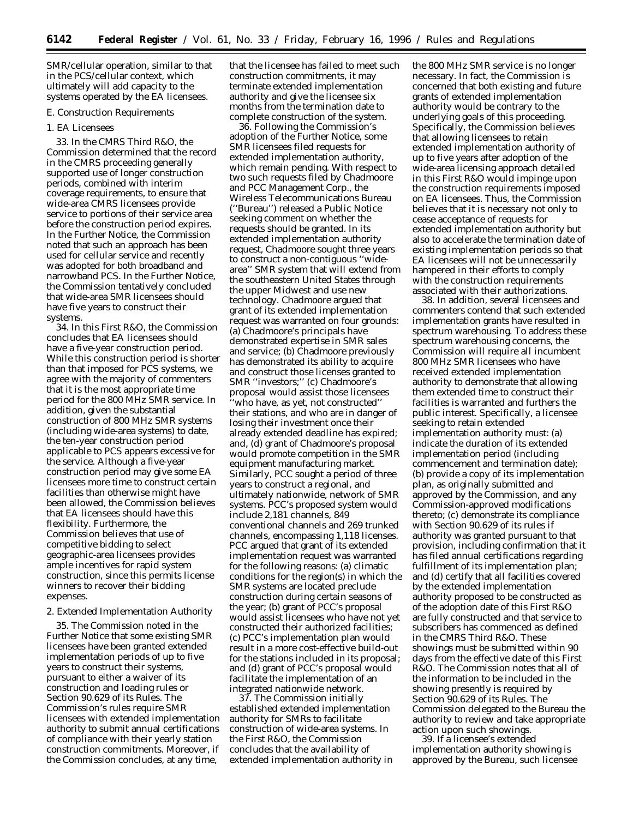SMR/cellular operation, similar to that in the PCS/cellular context, which ultimately will add capacity to the systems operated by the EA licensees.

## *E. Construction Requirements*

## 1. EA Licensees

33. In the *CMRS Third R&O,* the Commission determined that the record in the CMRS proceeding generally supported use of longer construction periods, combined with interim coverage requirements, to ensure that wide-area CMRS licensees provide service to portions of their service area before the construction period expires. In the *Further Notice,* the Commission noted that such an approach has been used for cellular service and recently was adopted for both broadband and narrowband PCS. In the *Further Notice,* the Commission tentatively concluded that wide-area SMR licensees should have five years to construct their systems.

34. In this *First R&O,* the Commission concludes that EA licensees should have a five-year construction period. While this construction period is shorter than that imposed for PCS systems, we agree with the majority of commenters that it is the most appropriate time period for the 800 MHz SMR service. In addition, given the substantial construction of 800 MHz SMR systems (including wide-area systems) to date, the ten-year construction period applicable to PCS appears excessive for the service. Although a five-year construction period may give some EA licensees more time to construct certain facilities than otherwise might have been allowed, the Commission believes that EA licensees should have this flexibility. Furthermore, the Commission believes that use of competitive bidding to select geographic-area licensees provides ample incentives for rapid system construction, since this permits license winners to recover their bidding expenses.

## 2. Extended Implementation Authority

35. The Commission noted in the *Further Notice* that some existing SMR licensees have been granted extended implementation periods of up to five years to construct their systems, pursuant to either a waiver of its construction and loading rules or Section 90.629 of its Rules. The Commission's rules require SMR licensees with extended implementation authority to submit annual certifications of compliance with their yearly station construction commitments. Moreover, if the Commission concludes, at any time,

that the licensee has failed to meet such construction commitments, it may terminate extended implementation authority and give the licensee six months from the termination date to complete construction of the system.

36. Following the Commission's adoption of the *Further Notice,* some SMR licensees filed requests for extended implementation authority, which remain pending. With respect to two such requests filed by Chadmoore and PCC Management Corp., the Wireless Telecommunications Bureau (''Bureau'') released a Public Notice seeking comment on whether the requests should be granted. In its extended implementation authority request, Chadmoore sought three years to construct a non-contiguous ''widearea'' SMR system that will extend from the southeastern United States through the upper Midwest and use new technology. Chadmoore argued that grant of its extended implementation request was warranted on four grounds: (a) Chadmoore's principals have demonstrated expertise in SMR sales and service; (b) Chadmoore previously has demonstrated its ability to acquire and construct those licenses granted to SMR ''investors;'' (c) Chadmoore's proposal would assist those licensees 'who have, as yet, not constructed'' their stations, and who are in danger of losing their investment once their already extended deadline has expired; and, (d) grant of Chadmoore's proposal would promote competition in the SMR equipment manufacturing market. Similarly, PCC sought a period of three years to construct a regional, and ultimately nationwide, network of SMR systems. PCC's proposed system would include 2,181 channels, 849 conventional channels and 269 trunked channels, encompassing 1,118 licenses. PCC argued that grant of its extended implementation request was warranted for the following reasons: (a) climatic conditions for the region(s) in which the SMR systems are located preclude construction during certain seasons of the year; (b) grant of PCC's proposal would assist licensees who have not yet constructed their authorized facilities; (c) PCC's implementation plan would result in a more cost-effective build-out for the stations included in its proposal; and (d) grant of PCC's proposal would facilitate the implementation of an integrated nationwide network.

37. The Commission initially established extended implementation authority for SMRs to facilitate construction of wide-area systems. In the *First R&O,* the Commission concludes that the availability of extended implementation authority in

the 800 MHz SMR service is no longer necessary. In fact, the Commission is concerned that both existing and future grants of extended implementation authority would be contrary to the underlying goals of this proceeding. Specifically, the Commission believes that allowing licensees to retain extended implementation authority of up to five years after adoption of the wide-area licensing approach detailed in this *First R&O* would impinge upon the construction requirements imposed on EA licensees. Thus, the Commission believes that it is necessary not only to cease acceptance of requests for extended implementation authority but also to accelerate the termination date of existing implementation periods so that EA licensees will not be unnecessarily hampered in their efforts to comply with the construction requirements associated with their authorizations.

38. In addition, several licensees and commenters contend that such extended implementation grants have resulted in spectrum warehousing. To address these spectrum warehousing concerns, the Commission will require all incumbent 800 MHz SMR licensees who have received extended implementation authority to demonstrate that allowing them extended time to construct their facilities is warranted and furthers the public interest. Specifically, a licensee seeking to retain extended implementation authority must: (a) indicate the duration of its extended implementation period (including commencement and termination date); (b) provide a copy of its implementation plan, as originally submitted and approved by the Commission, and any Commission-approved modifications thereto; (c) demonstrate its compliance with Section 90.629 of its rules if authority was granted pursuant to that provision, including confirmation that it has filed annual certifications regarding fulfillment of its implementation plan; and (d) certify that all facilities covered by the extended implementation authority proposed to be constructed as of the adoption date of this *First R&O* are fully constructed and that service to subscribers has commenced as defined in the *CMRS Third R&O*. These showings must be submitted within 90 days from the effective date of this *First R&O*. The Commission notes that all of the information to be included in the showing presently is required by Section 90.629 of its Rules. The Commission delegated to the Bureau the authority to review and take appropriate action upon such showings.

39. If a licensee's extended implementation authority showing is approved by the Bureau, such licensee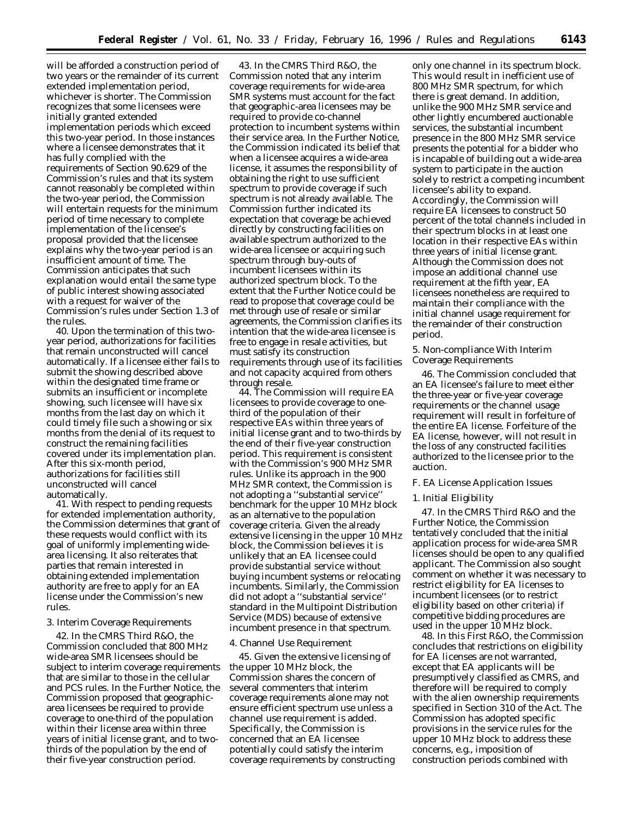will be afforded a construction period of two years or the remainder of its current extended implementation period, whichever is shorter. The Commission recognizes that some licensees were initially granted extended implementation periods which exceed this two-year period. In those instances where a licensee demonstrates that it has fully complied with the requirements of Section 90.629 of the Commission's rules and that its system cannot reasonably be completed within the two-year period, the Commission will entertain requests for the minimum period of time necessary to complete implementation of the licensee's proposal provided that the licensee explains why the two-year period is an insufficient amount of time. The Commission anticipates that such explanation would entail the same type of public interest showing associated with a request for waiver of the Commission's rules under Section 1.3 of the rules.

40. Upon the termination of this twoyear period, authorizations for facilities that remain unconstructed will cancel automatically. If a licensee either fails to submit the showing described above within the designated time frame or submits an insufficient or incomplete showing, such licensee will have six months from the last day on which it could timely file such a showing or six months from the denial of its request to construct the remaining facilities covered under its implementation plan. After this six-month period, authorizations for facilities still unconstructed will cancel automatically.

41. With respect to pending requests for extended implementation authority, the Commission determines that grant of these requests would conflict with its goal of uniformly implementing widearea licensing. It also reiterates that parties that remain interested in obtaining extended implementation authority are free to apply for an EA license under the Commission's new rules.

# 3. Interim Coverage Requirements

42. In the *CMRS Third R&O*, the Commission concluded that 800 MHz wide-area SMR licensees should be subject to interim coverage requirements that are similar to those in the cellular and PCS rules. In the *Further Notice*, the Commission proposed that geographicarea licensees be required to provide coverage to one-third of the population within their license area within three years of initial license grant, and to twothirds of the population by the end of their five-year construction period.

43. In the *CMRS Third R&O*, the Commission noted that any interim coverage requirements for wide-area SMR systems must account for the fact that geographic-area licensees may be required to provide co-channel protection to incumbent systems within their service area. In the *Further Notice*, the Commission indicated its belief that when a licensee acquires a wide-area license, it assumes the responsibility of obtaining the right to use sufficient spectrum to provide coverage if such spectrum is not already available. The Commission further indicated its expectation that coverage be achieved directly by constructing facilities on available spectrum authorized to the wide-area licensee or acquiring such spectrum through buy-outs of incumbent licensees within its authorized spectrum block. To the extent that the *Further Notice* could be read to propose that coverage could be met through use of resale or similar agreements, the Commission clarifies its intention that the wide-area licensee is free to engage in resale activities, but must satisfy its construction requirements through use of its facilities and not capacity acquired from others through resale.

44. The Commission will require EA licensees to provide coverage to onethird of the population of their respective EAs within three years of initial license grant and to two-thirds by the end of their five-year construction period. This requirement is consistent with the Commission's 900 MHz SMR rules. Unlike its approach in the 900 MHz SMR context, the Commission is not adopting a ''substantial service'' benchmark for the upper 10 MHz block as an alternative to the population coverage criteria. Given the already extensive licensing in the upper 10 MHz block, the Commission believes it is unlikely that an EA licensee could provide substantial service without buying incumbent systems or relocating incumbents. Similarly, the Commission did not adopt a ''substantial service'' standard in the Multipoint Distribution Service (MDS) because of extensive incumbent presence in that spectrum.

## 4. Channel Use Requirement

45. Given the extensive licensing of the upper 10 MHz block, the Commission shares the concern of several commenters that interim coverage requirements alone may not ensure efficient spectrum use unless a channel use requirement is added. Specifically, the Commission is concerned that an EA licensee potentially could satisfy the interim coverage requirements by constructing only one channel in its spectrum block. This would result in inefficient use of 800 MHz SMR spectrum, for which there is great demand. In addition, unlike the 900 MHz SMR service and other lightly encumbered auctionable services, the substantial incumbent presence in the 800 MHz SMR service presents the potential for a bidder who is incapable of building out a wide-area system to participate in the auction solely to restrict a competing incumbent licensee's ability to expand. Accordingly, the Commission will require EA licensees to construct 50 percent of the total channels included in their spectrum blocks in at least one location in their respective EAs within three years of initial license grant. Although the Commission does not impose an additional channel use requirement at the fifth year, EA licensees nonetheless are required to maintain their compliance with the initial channel usage requirement for the remainder of their construction period.

5. Non-compliance With Interim Coverage Requirements

46. The Commission concluded that an EA licensee's failure to meet either the three-year or five-year coverage requirements or the channel usage requirement will result in forfeiture of the entire EA license. Forfeiture of the EA license, however, will not result in the loss of any constructed facilities authorized to the licensee prior to the auction.

# *F. EA License Application Issues*

## 1. Initial Eligibility

47. In the *CMRS Third R&O* and the *Further Notice*, the Commission tentatively concluded that the initial application process for wide-area SMR licenses should be open to any qualified applicant. The Commission also sought comment on whether it was necessary to restrict eligibility for EA licenses to incumbent licensees (or to restrict eligibility based on other criteria) if competitive bidding procedures are used in the upper 10 MHz block.

48. In this *First R&O,* the Commission concludes that restrictions on eligibility for EA licenses are not warranted, except that EA applicants will be presumptively classified as CMRS, and therefore will be required to comply with the alien ownership requirements specified in Section 310 of the Act. The Commission has adopted specific provisions in the service rules for the upper 10 MHz block to address these concerns, *e.g.,* imposition of construction periods combined with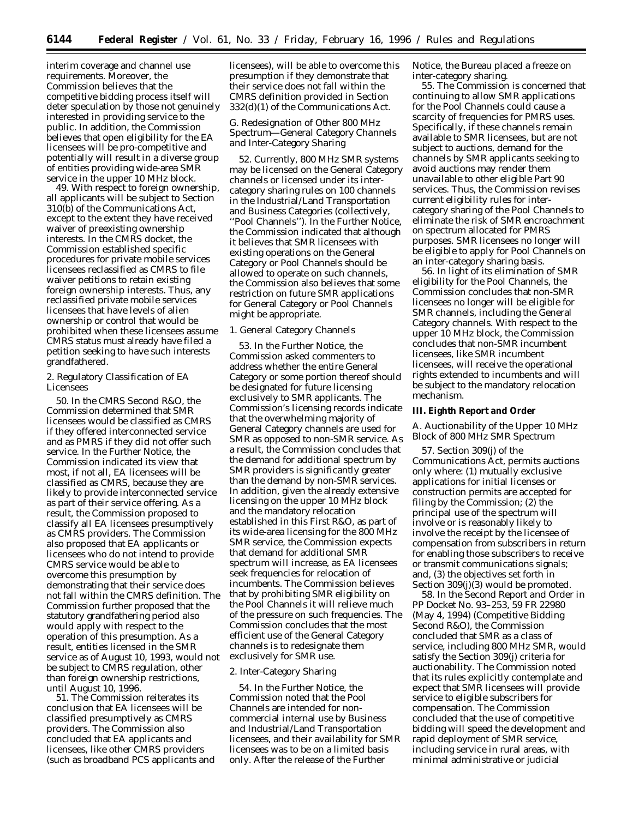interim coverage and channel use requirements. Moreover, the Commission believes that the competitive bidding process itself will deter speculation by those not genuinely interested in providing service to the public. In addition, the Commission believes that open eligibility for the EA licensees will be pro-competitive and potentially will result in a diverse group of entities providing wide-area SMR service in the upper 10 MHz block.

49. With respect to foreign ownership, all applicants will be subject to Section 310(b) of the Communications Act, except to the extent they have received waiver of preexisting ownership interests. In the CMRS docket, the Commission established specific procedures for private mobile services licensees reclassified as CMRS to file waiver petitions to retain existing foreign ownership interests. Thus, any reclassified private mobile services licensees that have levels of alien ownership or control that would be prohibited when these licensees assume CMRS status must already have filed a petition seeking to have such interests grandfathered.

# 2. Regulatory Classification of EA Licensees

50. In the *CMRS Second R&O,* the Commission determined that SMR licensees would be classified as CMRS if they offered interconnected service and as PMRS if they did not offer such service. In the *Further Notice*, the Commission indicated its view that most, if not all, EA licensees will be classified as CMRS, because they are likely to provide interconnected service as part of their service offering. As a result, the Commission proposed to classify all EA licensees presumptively as CMRS providers. The Commission also proposed that EA applicants or licensees who do not intend to provide CMRS service would be able to overcome this presumption by demonstrating that their service does not fall within the CMRS definition. The Commission further proposed that the statutory grandfathering period also would apply with respect to the operation of this presumption. As a result, entities licensed in the SMR service as of August 10, 1993, would not be subject to CMRS regulation, other than foreign ownership restrictions, until August 10, 1996.

51. The Commission reiterates its conclusion that EA licensees will be classified presumptively as CMRS providers. The Commission also concluded that EA applicants and licensees, like other CMRS providers (such as broadband PCS applicants and

licensees), will be able to overcome this presumption if they demonstrate that their service does not fall within the CMRS definition provided in Section 332(d)(1) of the Communications Act.

# *G. Redesignation of Other 800 MHz Spectrum—General Category Channels and Inter-Category Sharing*

52. Currently, 800 MHz SMR systems may be licensed on the General Category channels or licensed under its intercategory sharing rules on 100 channels in the Industrial/Land Transportation and Business Categories (collectively, ''Pool Channels''). In the *Further Notice,* the Commission indicated that although it believes that SMR licensees with existing operations on the General Category or Pool Channels should be allowed to operate on such channels, the Commission also believes that some restriction on future SMR applications for General Category or Pool Channels might be appropriate.

# 1. General Category Channels

53. In the *Further Notice*, the Commission asked commenters to address whether the entire General Category or some portion thereof should be designated for future licensing exclusively to SMR applicants. The Commission's licensing records indicate that the overwhelming majority of General Category channels are used for SMR as opposed to non-SMR service. As a result, the Commission concludes that the demand for additional spectrum by SMR providers is significantly greater than the demand by non-SMR services. In addition, given the already extensive licensing on the upper 10 MHz block and the mandatory relocation established in this *First R&O,* as part of its wide-area licensing for the 800 MHz SMR service, the Commission expects that demand for additional SMR spectrum will increase, as EA licensees seek frequencies for relocation of incumbents. The Commission believes that by prohibiting SMR eligibility on the Pool Channels it will relieve much of the pressure on such frequencies. The Commission concludes that the most efficient use of the General Category channels is to redesignate them exclusively for SMR use.

## 2. Inter-Category Sharing

54. In the *Further Notice*, the Commission noted that the Pool Channels are intended for noncommercial internal use by Business and Industrial/Land Transportation licensees, and their availability for SMR licensees was to be on a limited basis only. After the release of the *Further*

*Notice,* the Bureau placed a freeze on inter-category sharing.

55. The Commission is concerned that continuing to allow SMR applications for the Pool Channels could cause a scarcity of frequencies for PMRS uses. Specifically, if these channels remain available to SMR licensees, but are not subject to auctions, demand for the channels by SMR applicants seeking to avoid auctions may render them unavailable to other eligible Part 90 services. Thus, the Commission revises current eligibility rules for intercategory sharing of the Pool Channels to eliminate the risk of SMR encroachment on spectrum allocated for PMRS purposes. SMR licensees no longer will be eligible to apply for Pool Channels on an inter-category sharing basis.

56. In light of its elimination of SMR eligibility for the Pool Channels, the Commission concludes that non-SMR licensees no longer will be eligible for SMR channels, including the General Category channels. With respect to the upper 10 MHz block, the Commission concludes that non-SMR incumbent licensees, like SMR incumbent licensees, will receive the operational rights extended to incumbents and will be subject to the mandatory relocation mechanism.

#### **III. Eighth Report and Order**

# *A. Auctionability of the Upper 10 MHz Block of 800 MHz SMR Spectrum*

57. Section 309(j) of the Communications Act, permits auctions only where: (1) mutually exclusive applications for initial licenses or construction permits are accepted for filing by the Commission; (2) the principal use of the spectrum will involve or is reasonably likely to involve the receipt by the licensee of compensation from subscribers in return for enabling those subscribers to receive or transmit communications signals; and, (3) the objectives set forth in Section 309(j)(3) would be promoted.

58. In the *Second Report and Order* in PP Docket No. 93–253, 59 FR 22980 (May 4, 1994) *(Competitive Bidding Second R&O)*, the Commission concluded that SMR as a class of service, including 800 MHz SMR, would satisfy the Section 309(j) criteria for auctionability. The Commission noted that its rules explicitly contemplate and expect that SMR licensees will provide service to eligible subscribers for compensation. The Commission concluded that the use of competitive bidding will speed the development and rapid deployment of SMR service, including service in rural areas, with minimal administrative or judicial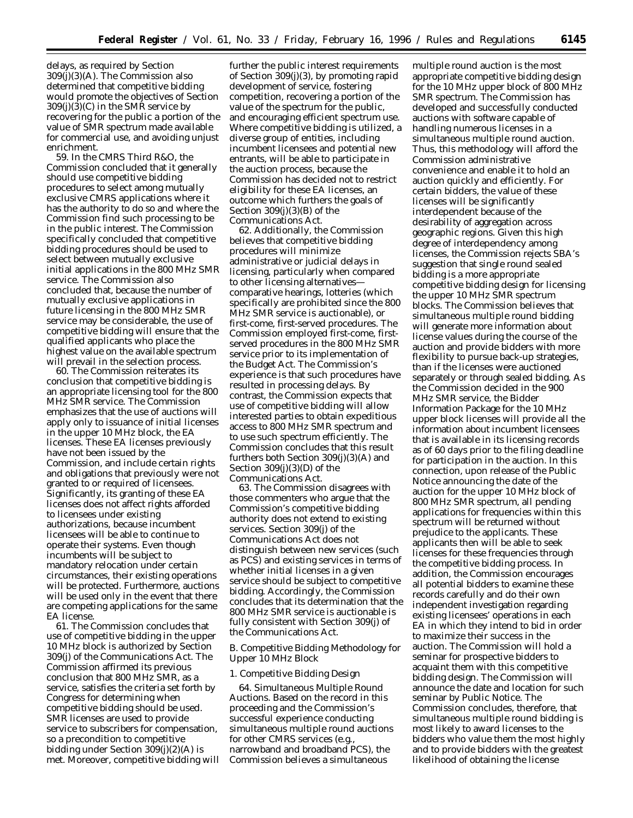delays, as required by Section 309(j)(3)(A). The Commission also determined that competitive bidding would promote the objectives of Section  $309(j)(3)(C)$  in the SMR service by recovering for the public a portion of the value of SMR spectrum made available for commercial use, and avoiding unjust enrichment.

59. In the *CMRS Third R&O,* the Commission concluded that it generally should use competitive bidding procedures to select among mutually exclusive CMRS applications where it has the authority to do so and where the Commission find such processing to be in the public interest. The Commission specifically concluded that competitive bidding procedures should be used to select between mutually exclusive initial applications in the 800 MHz SMR service. The Commission also concluded that, because the number of mutually exclusive applications in future licensing in the 800 MHz SMR service may be considerable, the use of competitive bidding will ensure that the qualified applicants who place the highest value on the available spectrum will prevail in the selection process.

60. The Commission reiterates its conclusion that competitive bidding is an appropriate licensing tool for the 800 MHz SMR service. The Commission emphasizes that the use of auctions will apply only to issuance of initial licenses in the upper 10 MHz block, the EA licenses. These EA licenses previously have not been issued by the Commission, and include certain rights and obligations that previously were not granted to or required of licensees. Significantly, its granting of these EA licenses does not affect rights afforded to licensees under existing authorizations, because incumbent licensees will be able to continue to operate their systems. Even though incumbents will be subject to mandatory relocation under certain circumstances, their existing operations will be protected. Furthermore, auctions will be used only in the event that there are competing applications for the same EA license.

61. The Commission concludes that use of competitive bidding in the upper 10 MHz block is authorized by Section 309(j) of the Communications Act. The Commission affirmed its previous conclusion that 800 MHz SMR, as a service, satisfies the criteria set forth by Congress for determining when competitive bidding should be used. SMR licenses are used to provide service to subscribers for compensation, so a precondition to competitive bidding under Section 309(j)(2)(A) is met. Moreover, competitive bidding will

further the public interest requirements of Section 309(j)(3), by promoting rapid development of service, fostering competition, recovering a portion of the value of the spectrum for the public, and encouraging efficient spectrum use. Where competitive bidding is utilized, a diverse group of entities, including incumbent licensees and potential new entrants, will be able to participate in the auction process, because the Commission has decided not to restrict eligibility for these EA licenses, an outcome which furthers the goals of Section 309(j)(3)(B) of the Communications Act.

62. Additionally, the Commission believes that competitive bidding procedures will minimize administrative or judicial delays in licensing, particularly when compared to other licensing alternativescomparative hearings, lotteries (which specifically are prohibited since the 800 MHz SMR service is auctionable), or first-come, first-served procedures. The Commission employed first-come, firstserved procedures in the 800 MHz SMR service prior to its implementation of the Budget Act. The Commission's experience is that such procedures have resulted in processing delays. By contrast, the Commission expects that use of competitive bidding will allow interested parties to obtain expeditious access to 800 MHz SMR spectrum and to use such spectrum efficiently. The Commission concludes that this result furthers both Section 309(j)(3)(A) and Section 309(j)(3)(D) of the Communications Act.

63. The Commission disagrees with those commenters who argue that the Commission's competitive bidding authority does not extend to existing services. Section 309(j) of the Communications Act does not distinguish between new services (such as PCS) and existing services in terms of whether initial licenses in a given service should be subject to competitive bidding. Accordingly, the Commission concludes that its determination that the 800 MHz SMR service is auctionable is fully consistent with Section 309(j) of the Communications Act.

## *B. Competitive Bidding Methodology for Upper 10 MHz Block*

## 1. Competitive Bidding Design

64. *Simultaneous Multiple Round Auctions*. Based on the record in this proceeding and the Commission's successful experience conducting simultaneous multiple round auctions for other CMRS services (*e.g.,* narrowband and broadband PCS), the Commission believes a simultaneous

multiple round auction is the most appropriate competitive bidding design for the 10 MHz upper block of 800 MHz SMR spectrum. The Commission has developed and successfully conducted auctions with software capable of handling numerous licenses in a simultaneous multiple round auction. Thus, this methodology will afford the Commission administrative convenience and enable it to hold an auction quickly and efficiently. For certain bidders, the value of these licenses will be significantly interdependent because of the desirability of aggregation across geographic regions. Given this high degree of interdependency among licenses, the Commission rejects SBA's suggestion that single round sealed bidding is a more appropriate competitive bidding design for licensing the upper 10 MHz SMR spectrum blocks. The Commission believes that simultaneous multiple round bidding will generate more information about license values during the course of the auction and provide bidders with more flexibility to pursue back-up strategies, than if the licenses were auctioned separately or through sealed bidding. As the Commission decided in the 900 MHz SMR service, the Bidder Information Package for the 10 MHz upper block licenses will provide all the information about incumbent licensees that is available in its licensing records as of 60 days prior to the filing deadline for participation in the auction. In this connection, upon release of the Public Notice announcing the date of the auction for the upper 10 MHz block of 800 MHz SMR spectrum, all pending applications for frequencies within this spectrum will be returned without prejudice to the applicants. These applicants then will be able to seek licenses for these frequencies through the competitive bidding process. In addition, the Commission encourages all potential bidders to examine these records carefully and do their own independent investigation regarding existing licensees' operations in each EA in which they intend to bid in order to maximize their success in the auction. The Commission will hold a seminar for prospective bidders to acquaint them with this competitive bidding design. The Commission will announce the date and location for such seminar by Public Notice. The Commission concludes, therefore, that simultaneous multiple round bidding is most likely to award licenses to the bidders who value them the most highly and to provide bidders with the greatest likelihood of obtaining the license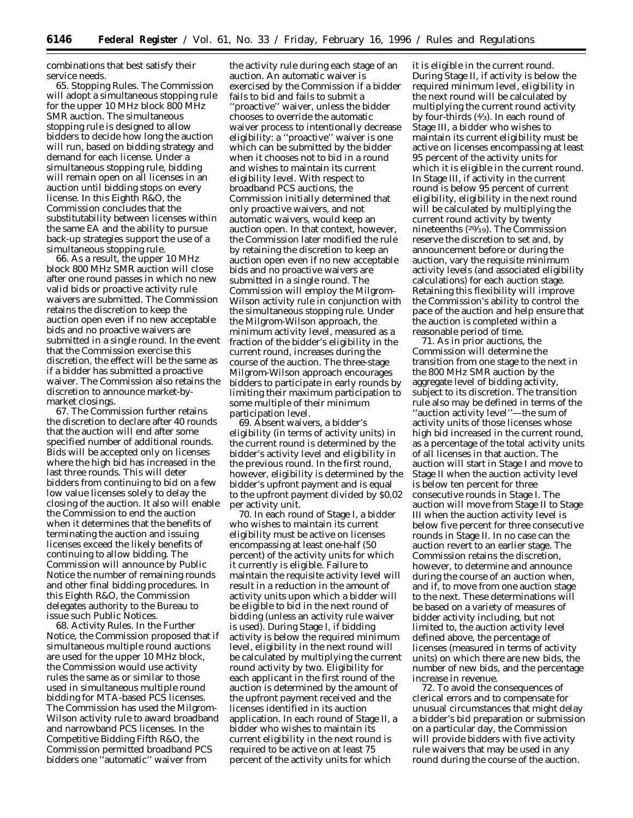combinations that best satisfy their service needs.

65. *Stopping Rules.* The Commission will adopt a simultaneous stopping rule for the upper 10 MHz block 800 MHz SMR auction. The simultaneous stopping rule is designed to allow bidders to decide how long the auction will run, based on bidding strategy and demand for each license. Under a simultaneous stopping rule, bidding will remain open on all licenses in an auction until bidding stops on every license. In this *Eighth R&O,* the Commission concludes that the substitutability between licenses within the same EA and the ability to pursue back-up strategies support the use of a simultaneous stopping rule.

66. As a result, the upper 10 MHz block 800 MHz SMR auction will close after one round passes in which no new valid bids or proactive activity rule waivers are submitted. The Commission retains the discretion to keep the auction open even if no new acceptable bids and no proactive waivers are submitted in a single round. In the event that the Commission exercise this discretion, the effect will be the same as if a bidder has submitted a proactive waiver. The Commission also retains the discretion to announce market-bymarket closings.

67. The Commission further retains the discretion to declare after 40 rounds that the auction will end after some specified number of additional rounds. Bids will be accepted only on licenses where the high bid has increased in the last three rounds. This will deter bidders from continuing to bid on a few low value licenses solely to delay the closing of the auction. It also will enable the Commission to end the auction when it determines that the benefits of terminating the auction and issuing licenses exceed the likely benefits of continuing to allow bidding. The Commission will announce by Public Notice the number of remaining rounds and other final bidding procedures. In this *Eighth R&O,* the Commission delegates authority to the Bureau to issue such Public Notices.

68. *Activity Rules.* In the *Further Notice,* the Commission proposed that if simultaneous multiple round auctions are used for the upper 10 MHz block, the Commission would use activity rules the same as or similar to those used in simultaneous multiple round bidding for MTA-based PCS licenses. The Commission has used the Milgrom-Wilson activity rule to award broadband and narrowband PCS licenses. In the *Competitive Bidding Fifth R&O,* the Commission permitted broadband PCS bidders one ''automatic'' waiver from

the activity rule during each stage of an auction. An automatic waiver is exercised by the Commission if a bidder fails to bid and fails to submit a ''proactive'' waiver, unless the bidder chooses to override the automatic waiver process to intentionally decrease eligibility: a ''proactive'' waiver is one which can be submitted by the bidder when it chooses not to bid in a round and wishes to maintain its current eligibility level. With respect to broadband PCS auctions, the Commission initially determined that only proactive waivers, and not automatic waivers, would keep an auction open. In that context, however, the Commission later modified the rule by retaining the discretion to keep an auction open even if no new acceptable bids and no proactive waivers are submitted in a single round. The Commission will employ the Milgrom-Wilson activity rule in conjunction with the simultaneous stopping rule. Under the Milgrom-Wilson approach, the minimum activity level, measured as a fraction of the bidder's eligibility in the current round, increases during the course of the auction. The three-stage Milgrom-Wilson approach encourages bidders to participate in early rounds by limiting their maximum participation to some multiple of their minimum participation level.

69. Absent waivers, a bidder's eligibility (in terms of activity units) in the current round is determined by the bidder's activity level and eligibility in the previous round. In the first round, however, eligibility is determined by the bidder's upfront payment and is equal to the upfront payment divided by \$0.02 per activity unit.

70. In each round of Stage I, a bidder who wishes to maintain its current eligibility must be active on licenses encompassing at least one-half (50 percent) of the activity units for which it currently is eligible. Failure to maintain the requisite activity level will result in a reduction in the amount of activity units upon which a bidder will be eligible to bid in the next round of bidding (unless an activity rule waiver is used). During Stage I, if bidding activity is below the required minimum level, eligibility in the next round will be calculated by multiplying the current round activity by two. Eligibility for each applicant in the first round of the auction is determined by the amount of the upfront payment received and the licenses identified in its auction application. In each round of Stage II, a bidder who wishes to maintain its current eligibility in the next round is required to be active on at least 75 percent of the activity units for which

it is eligible in the current round. During Stage II, if activity is below the required minimum level, eligibility in the next round will be calculated by multiplying the current round activity by four-thirds (4⁄3). In each round of Stage III, a bidder who wishes to maintain its current eligibility must be active on licenses encompassing at least 95 percent of the activity units for which it is eligible in the current round. In Stage III, if activity in the current round is below 95 percent of current eligibility, eligibility in the next round will be calculated by multiplying the current round activity by twenty nineteenths (20⁄19). The Commission reserve the discretion to set and, by announcement before or during the auction, vary the requisite minimum activity levels (and associated eligibility calculations) for each auction stage. Retaining this flexibility will improve the Commission's ability to control the pace of the auction and help ensure that the auction is completed within a reasonable period of time.

71. As in prior auctions, the Commission will determine the transition from one stage to the next in the 800 MHz SMR auction by the aggregate level of bidding activity, subject to its discretion. The transition rule also may be defined in terms of the ''auction activity level''—the sum of activity units of those licenses whose high bid increased in the current round, as a percentage of the total activity units of all licenses in that auction. The auction will start in Stage I and move to Stage II when the auction activity level is below ten percent for three consecutive rounds in Stage I. The auction will move from Stage II to Stage III when the auction activity level is below five percent for three consecutive rounds in Stage II. In no case can the auction revert to an earlier stage. The Commission retains the discretion, however, to determine and announce during the course of an auction when, and if, to move from one auction stage to the next. These determinations will be based on a variety of measures of bidder activity including, but not limited to, the auction activity level defined above, the percentage of licenses (measured in terms of activity units) on which there are new bids, the number of new bids, and the percentage increase in revenue.

72. To avoid the consequences of clerical errors and to compensate for unusual circumstances that might delay a bidder's bid preparation or submission on a particular day, the Commission will provide bidders with five activity rule waivers that may be used in any round during the course of the auction.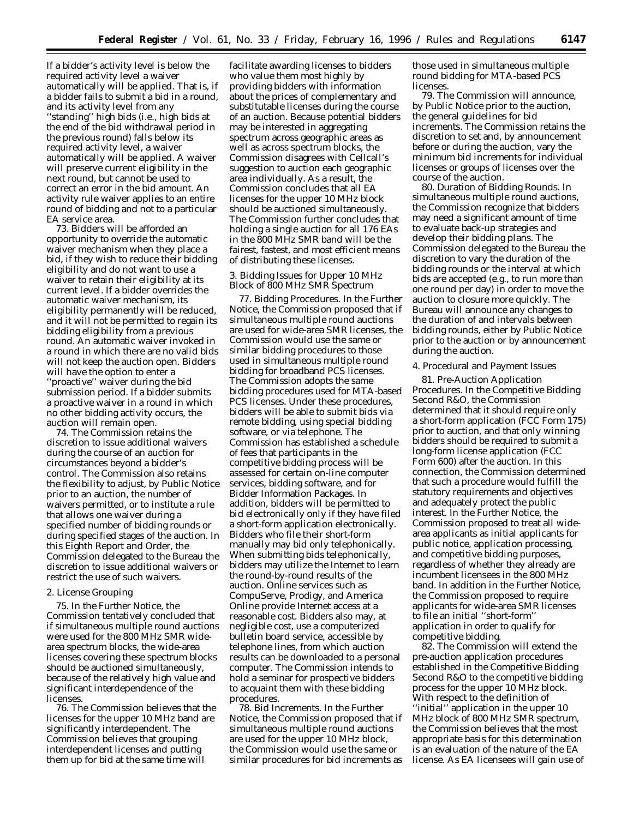If a bidder's activity level is below the required activity level a waiver automatically will be applied. That is, if a bidder fails to submit a bid in a round, and its activity level from any ''standing'' high bids (*i.e.,* high bids at the end of the bid withdrawal period in the previous round) falls below its required activity level, a waiver automatically will be applied. A waiver will preserve current eligibility in the next round, but cannot be used to correct an error in the bid amount. An activity rule waiver applies to an entire round of bidding and not to a particular EA service area.

73. Bidders will be afforded an opportunity to override the automatic waiver mechanism when they place a bid, if they wish to reduce their bidding eligibility and do not want to use a waiver to retain their eligibility at its current level. If a bidder overrides the automatic waiver mechanism, its eligibility permanently will be reduced, and it will not be permitted to regain its bidding eligibility from a previous round. An automatic waiver invoked in a round in which there are no valid bids will not keep the auction open. Bidders will have the option to enter a ''proactive'' waiver during the bid submission period. If a bidder submits a proactive waiver in a round in which no other bidding activity occurs, the auction will remain open.

74. The Commission retains the discretion to issue additional waivers during the course of an auction for circumstances beyond a bidder's control. The Commission also retains the flexibility to adjust, by Public Notice prior to an auction, the number of waivers permitted, or to institute a rule that allows one waiver during a specified number of bidding rounds or during specified stages of the auction. In this *Eighth Report and Order,* the Commission delegated to the Bureau the discretion to issue additional waivers or restrict the use of such waivers.

#### 2. License Grouping

75. In the *Further Notice,* the Commission tentatively concluded that if simultaneous multiple round auctions were used for the 800 MHz SMR widearea spectrum blocks, the wide-area licenses covering these spectrum blocks should be auctioned simultaneously, because of the relatively high value and significant interdependence of the licenses.

76. The Commission believes that the licenses for the upper 10 MHz band are significantly interdependent. The Commission believes that grouping interdependent licenses and putting them up for bid at the same time will

facilitate awarding licenses to bidders who value them most highly by providing bidders with information about the prices of complementary and substitutable licenses during the course of an auction. Because potential bidders may be interested in aggregating spectrum across geographic areas as well as across spectrum blocks, the Commission disagrees with Cellcall's suggestion to auction each geographic area individually. As a result, the Commission concludes that all EA licenses for the upper 10 MHz block should be auctioned simultaneously. The Commission further concludes that holding a single auction for all 176 EAs in the 800 MHz SMR band will be the fairest, fastest, and most efficient means of distributing these licenses.

# 3. Bidding Issues for Upper 10 MHz Block of 800 MHz SMR Spectrum

77. *Bidding Procedures.* In the *Further Notice,* the Commission proposed that if simultaneous multiple round auctions are used for wide-area SMR licenses, the Commission would use the same or similar bidding procedures to those used in simultaneous multiple round bidding for broadband PCS licenses. The Commission adopts the same bidding procedures used for MTA-based PCS licenses. Under these procedures, bidders will be able to submit bids via remote bidding, using special bidding software, or via telephone. The Commission has established a schedule of fees that participants in the competitive bidding process will be assessed for certain on-line computer services, bidding software, and for Bidder Information Packages. In addition, bidders will be permitted to bid electronically only if they have filed a short-form application electronically. Bidders who file their short-form manually may bid only telephonically. When submitting bids telephonically, bidders may utilize the Internet to learn the round-by-round results of the auction. Online services such as CompuServe, Prodigy, and America Online provide Internet access at a reasonable cost. Bidders also may, at negligible cost, use a computerized bulletin board service, accessible by telephone lines, from which auction results can be downloaded to a personal computer. The Commission intends to hold a seminar for prospective bidders to acquaint them with these bidding procedures.

78. *Bid Increments.* In the *Further Notice,* the Commission proposed that if simultaneous multiple round auctions are used for the upper 10 MHz block, the Commission would use the same or similar procedures for bid increments as those used in simultaneous multiple round bidding for MTA-based PCS licenses.

79. The Commission will announce, by Public Notice prior to the auction, the general guidelines for bid increments. The Commission retains the discretion to set and, by announcement before or during the auction, vary the minimum bid increments for individual licenses or groups of licenses over the course of the auction.

80. *Duration of Bidding Rounds.* In simultaneous multiple round auctions, the Commission recognize that bidders may need a significant amount of time to evaluate back-up strategies and develop their bidding plans. The Commission delegated to the Bureau the discretion to vary the duration of the bidding rounds or the interval at which bids are accepted (*e.g.,* to run more than one round per day) in order to move the auction to closure more quickly. The Bureau will announce any changes to the duration of and intervals between bidding rounds, either by Public Notice prior to the auction or by announcement during the auction.

#### 4. Procedural and Payment Issues

81. *Pre-Auction Application Procedures.* In the *Competitive Bidding Second R&O,* the Commission determined that it should require only a short-form application (FCC Form 175) prior to auction, and that only winning bidders should be required to submit a long-form license application (FCC Form 600) after the auction. In this connection, the Commission determined that such a procedure would fulfill the statutory requirements and objectives and adequately protect the public interest. In the *Further Notice,* the Commission proposed to treat all widearea applicants as initial applicants for public notice, application processing, and competitive bidding purposes, regardless of whether they already are incumbent licensees in the 800 MHz band. In addition in the *Further Notice,* the Commission proposed to require applicants for wide-area SMR licenses to file an initial ''short-form'' application in order to qualify for competitive bidding.

82. The Commission will extend the pre-auction application procedures established in the *Competitive Bidding Second R&O* to the competitive bidding process for the upper 10 MHz block. With respect to the definition of ''initial'' application in the upper 10 MHz block of 800 MHz SMR spectrum, the Commission believes that the most appropriate basis for this determination is an evaluation of the nature of the EA license. As EA licensees will gain use of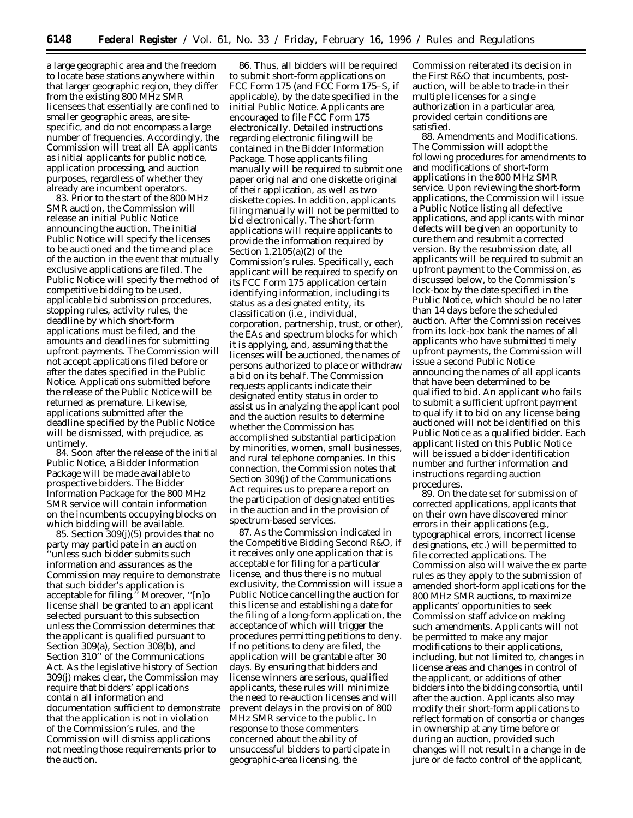a large geographic area and the freedom to locate base stations anywhere within that larger geographic region, they differ from the existing 800 MHz SMR licensees that essentially are confined to smaller geographic areas, are sitespecific, and do not encompass a large number of frequencies. Accordingly, the Commission will treat all EA applicants as initial applicants for public notice, application processing, and auction purposes, regardless of whether they already are incumbent operators.

83. Prior to the start of the 800 MHz SMR auction, the Commission will release an initial Public Notice announcing the auction. The initial Public Notice will specify the licenses to be auctioned and the time and place of the auction in the event that mutually exclusive applications are filed. The Public Notice will specify the method of competitive bidding to be used, applicable bid submission procedures, stopping rules, activity rules, the deadline by which short-form applications must be filed, and the amounts and deadlines for submitting upfront payments. The Commission will not accept applications filed before or after the dates specified in the Public Notice. Applications submitted before the release of the Public Notice will be returned as premature. Likewise, applications submitted after the deadline specified by the Public Notice will be dismissed, with prejudice, as untimely.

84. Soon after the release of the initial Public Notice, a Bidder Information Package will be made available to prospective bidders. The Bidder Information Package for the 800 MHz SMR service will contain information on the incumbents occupying blocks on which bidding will be available.

85. Section 309(j)(5) provides that no party may participate in an auction 'unless such bidder submits such information and assurances as the Commission may require to demonstrate that such bidder's application is acceptable for filing.'' Moreover, ''[n]o license shall be granted to an applicant selected pursuant to this subsection unless the Commission determines that the applicant is qualified pursuant to Section 309(a), Section 308(b), and Section 310'' of the Communications Act. As the legislative history of Section 309(j) makes clear, the Commission may require that bidders' applications contain all information and documentation sufficient to demonstrate that the application is not in violation of the Commission's rules, and the Commission will dismiss applications not meeting those requirements prior to the auction.

86. Thus, all bidders will be required to submit short-form applications on FCC Form 175 (and FCC Form 175–S, if applicable), by the date specified in the initial Public Notice. Applicants are encouraged to file FCC Form 175 electronically. Detailed instructions regarding electronic filing will be contained in the Bidder Information Package. Those applicants filing manually will be required to submit one paper original and one diskette original of their application, as well as two diskette copies. In addition, applicants filing manually will not be permitted to bid electronically. The short-form applications will require applicants to provide the information required by Section 1.2105(a)(2) of the Commission's rules. Specifically, each applicant will be required to specify on its FCC Form 175 application certain identifying information, including its status as a designated entity, its classification (*i.e.,* individual, corporation, partnership, trust, or other), the EAs and spectrum blocks for which it is applying, and, assuming that the licenses will be auctioned, the names of persons authorized to place or withdraw a bid on its behalf. The Commission requests applicants indicate their designated entity status in order to assist us in analyzing the applicant pool and the auction results to determine whether the Commission has accomplished substantial participation by minorities, women, small businesses, and rural telephone companies. In this connection, the Commission notes that Section 309(j) of the Communications Act requires us to prepare a report on the participation of designated entities in the auction and in the provision of spectrum-based services.

87. As the Commission indicated in the *Competitive Bidding Second R&O,* if it receives only one application that is acceptable for filing for a particular license, and thus there is no mutual exclusivity, the Commission will issue a Public Notice cancelling the auction for this license and establishing a date for the filing of a long-form application, the acceptance of which will trigger the procedures permitting petitions to deny. If no petitions to deny are filed, the application will be grantable after 30 days. By ensuring that bidders and license winners are serious, qualified applicants, these rules will minimize the need to re-auction licenses and will prevent delays in the provision of 800 MHz SMR service to the public. In response to those commenters concerned about the ability of unsuccessful bidders to participate in geographic-area licensing, the

Commission reiterated its decision in the *First R&O* that incumbents, postauction, will be able to trade-in their multiple licenses for a single authorization in a particular area, provided certain conditions are satisfied.

88. *Amendments and Modifications.* The Commission will adopt the following procedures for amendments to and modifications of short-form applications in the 800 MHz SMR service. Upon reviewing the short-form applications, the Commission will issue a Public Notice listing all defective applications, and applicants with minor defects will be given an opportunity to cure them and resubmit a corrected version. By the resubmission date, all applicants will be required to submit an upfront payment to the Commission, as discussed below, to the Commission's lock-box by the date specified in the Public Notice, which should be no later than 14 days before the scheduled auction. After the Commission receives from its lock-box bank the names of all applicants who have submitted timely upfront payments, the Commission will issue a second Public Notice announcing the names of all applicants that have been determined to be qualified to bid. An applicant who fails to submit a sufficient upfront payment to qualify it to bid on any license being auctioned will not be identified on this Public Notice as a qualified bidder. Each applicant listed on this Public Notice will be issued a bidder identification number and further information and instructions regarding auction procedures.

89. On the date set for submission of corrected applications, applicants that on their own have discovered minor errors in their applications (*e.g.,* typographical errors, incorrect license designations, *etc.*) will be permitted to file corrected applications. The Commission also will waive the *ex parte* rules as they apply to the submission of amended short-form applications for the 800 MHz SMR auctions, to maximize applicants' opportunities to seek Commission staff advice on making such amendments. Applicants will not be permitted to make any major modifications to their applications, including, but not limited to, changes in license areas and changes in control of the applicant, or additions of other bidders into the bidding consortia, until after the auction. Applicants also may modify their short-form applications to reflect formation of consortia or changes in ownership at any time before or during an auction, provided such changes will not result in a change in *de jure* or *de facto* control of the applicant,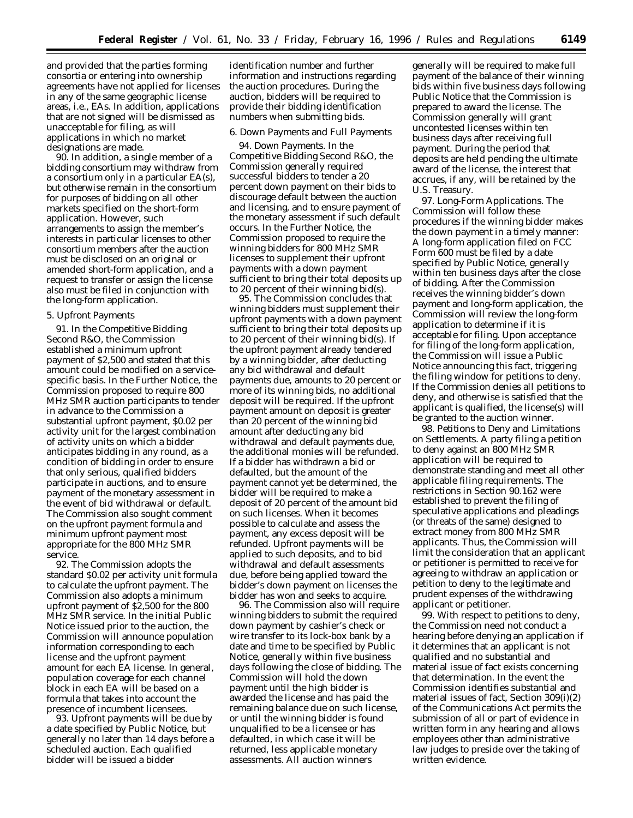and provided that the parties forming consortia or entering into ownership agreements have not applied for licenses in any of the same geographic license areas, *i.e.,* EAs. In addition, applications that are not signed will be dismissed as unacceptable for filing, as will applications in which no market designations are made.

90. In addition, a single member of a bidding consortium may withdraw from a consortium only in a particular EA(s), but otherwise remain in the consortium for purposes of bidding on all other markets specified on the short-form application. However, such arrangements to assign the member's interests in particular licenses to other consortium members after the auction must be disclosed on an original or amended short-form application, and a request to transfer or assign the license also must be filed in conjunction with the long-form application.

## 5. Upfront Payments

91. In the *Competitive Bidding Second R&O,* the Commission established a minimum upfront payment of \$2,500 and stated that this amount could be modified on a servicespecific basis. In the *Further Notice,* the Commission proposed to require 800 MHz SMR auction participants to tender in advance to the Commission a substantial upfront payment, \$0.02 per activity unit for the largest combination of activity units on which a bidder anticipates bidding in any round, as a condition of bidding in order to ensure that only serious, qualified bidders participate in auctions, and to ensure payment of the monetary assessment in the event of bid withdrawal or default. The Commission also sought comment on the upfront payment formula and minimum upfront payment most appropriate for the 800 MHz SMR service.

92. The Commission adopts the standard \$0.02 per activity unit formula to calculate the upfront payment. The Commission also adopts a minimum upfront payment of \$2,500 for the 800 MHz SMR service. In the initial Public Notice issued prior to the auction, the Commission will announce population information corresponding to each license and the upfront payment amount for each EA license. In general, population coverage for each channel block in each EA will be based on a formula that takes into account the presence of incumbent licensees.

93. Upfront payments will be due by a date specified by Public Notice, but generally no later than 14 days before a scheduled auction. Each qualified bidder will be issued a bidder

identification number and further information and instructions regarding the auction procedures. During the auction, bidders will be required to provide their bidding identification numbers when submitting bids.

## 6. Down Payments and Full Payments

94. *Down Payments.* In the *Competitive Bidding Second R&O,* the Commission generally required successful bidders to tender a 20 percent down payment on their bids to discourage default between the auction and licensing, and to ensure payment of the monetary assessment if such default occurs. In the *Further Notice,* the Commission proposed to require the winning bidders for 800 MHz SMR licenses to supplement their upfront payments with a down payment sufficient to bring their total deposits up to 20 percent of their winning bid(s).

95. The Commission concludes that winning bidders must supplement their upfront payments with a down payment sufficient to bring their total deposits up to 20 percent of their winning bid(s). If the upfront payment already tendered by a winning bidder, after deducting any bid withdrawal and default payments due, amounts to 20 percent or more of its winning bids, no additional deposit will be required. If the upfront payment amount on deposit is greater than 20 percent of the winning bid amount after deducting any bid withdrawal and default payments due, the additional monies will be refunded. If a bidder has withdrawn a bid or defaulted, but the amount of the payment cannot yet be determined, the bidder will be required to make a deposit of 20 percent of the amount bid on such licenses. When it becomes possible to calculate and assess the payment, any excess deposit will be refunded. Upfront payments will be applied to such deposits, and to bid withdrawal and default assessments due, before being applied toward the bidder's down payment on licenses the bidder has won and seeks to acquire.

96. The Commission also will require winning bidders to submit the required down payment by cashier's check or wire transfer to its lock-box bank by a date and time to be specified by Public Notice, generally within five business days following the close of bidding. The Commission will hold the down payment until the high bidder is awarded the license and has paid the remaining balance due on such license, or until the winning bidder is found unqualified to be a licensee or has defaulted, in which case it will be returned, less applicable monetary assessments. All auction winners

generally will be required to make full payment of the balance of their winning bids within five business days following Public Notice that the Commission is prepared to award the license. The Commission generally will grant uncontested licenses within ten business days after receiving full payment. During the period that deposits are held pending the ultimate award of the license, the interest that accrues, if any, will be retained by the U.S. Treasury.

97. *Long-Form Applications.* The Commission will follow these procedures if the winning bidder makes the down payment in a timely manner: A long-form application filed on FCC Form 600 must be filed by a date specified by Public Notice, generally within ten business days after the close of bidding. After the Commission receives the winning bidder's down payment and long-form application, the Commission will review the long-form application to determine if it is acceptable for filing. Upon acceptance for filing of the long-form application, the Commission will issue a Public Notice announcing this fact, triggering the filing window for petitions to deny. If the Commission denies all petitions to deny, and otherwise is satisfied that the applicant is qualified, the license(s) will be granted to the auction winner.

98. *Petitions to Deny and Limitations on Settlements.* A party filing a petition to deny against an 800 MHz SMR application will be required to demonstrate standing and meet all other applicable filing requirements. The restrictions in Section 90.162 were established to prevent the filing of speculative applications and pleadings (or threats of the same) designed to extract money from 800 MHz SMR applicants. Thus, the Commission will limit the consideration that an applicant or petitioner is permitted to receive for agreeing to withdraw an application or petition to deny to the legitimate and prudent expenses of the withdrawing applicant or petitioner.

99. With respect to petitions to deny, the Commission need not conduct a hearing before denying an application if it determines that an applicant is not qualified and no substantial and material issue of fact exists concerning that determination. In the event the Commission identifies substantial and material issues of fact, Section 309(i)(2) of the Communications Act permits the submission of all or part of evidence in written form in any hearing and allows employees other than administrative law judges to preside over the taking of written evidence.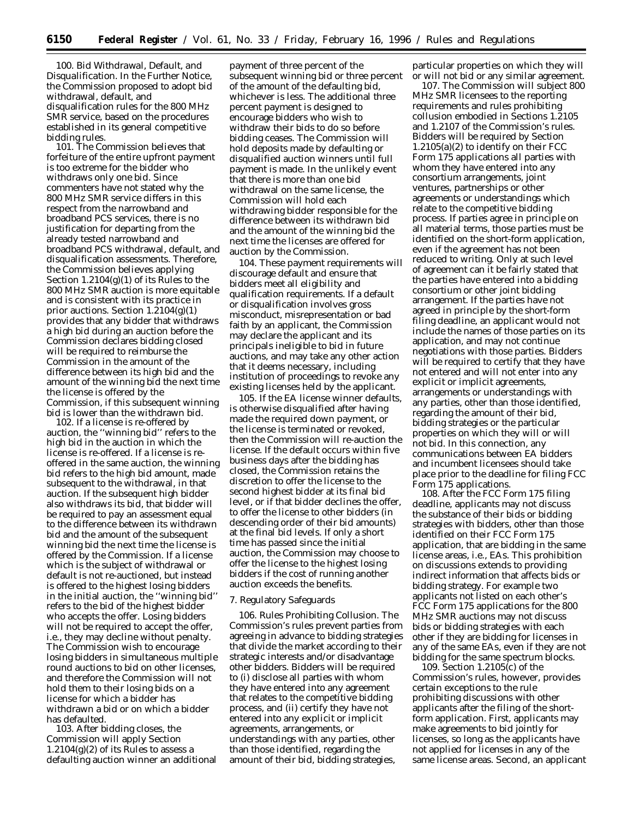100. *Bid Withdrawal, Default, and Disqualification.* In the *Further Notice,* the Commission proposed to adopt bid withdrawal, default, and disqualification rules for the 800 MHz SMR service, based on the procedures established in its general competitive bidding rules.

101. The Commission believes that forfeiture of the entire upfront payment is too extreme for the bidder who withdraws only one bid. Since commenters have not stated why the 800 MHz SMR service differs in this respect from the narrowband and broadband PCS services, there is no justification for departing from the already tested narrowband and broadband PCS withdrawal, default, and disqualification assessments. Therefore, the Commission believes applying Section 1.2104(g)(1) of its Rules to the 800 MHz SMR auction is more equitable and is consistent with its practice in prior auctions. Section  $1.2104(g)(1)$ provides that any bidder that withdraws a high bid during an auction before the Commission declares bidding closed will be required to reimburse the Commission in the amount of the difference between its high bid and the amount of the winning bid the next time the license is offered by the Commission, if this subsequent winning bid is lower than the withdrawn bid.

102. If a license is re-offered by auction, the ''winning bid'' refers to the high bid in the auction in which the license is re-offered. If a license is reoffered in the same auction, the winning bid refers to the high bid amount, made subsequent to the withdrawal, in that auction. If the subsequent high bidder also withdraws its bid, that bidder will be required to pay an assessment equal to the difference between its withdrawn bid and the amount of the subsequent winning bid the next time the license is offered by the Commission. If a license which is the subject of withdrawal or default is not re-auctioned, but instead is offered to the highest losing bidders in the initial auction, the ''winning bid'' refers to the bid of the highest bidder who accepts the offer. Losing bidders will not be required to accept the offer, *i.e.,* they may decline without penalty. The Commission wish to encourage losing bidders in simultaneous multiple round auctions to bid on other licenses, and therefore the Commission will not hold them to their losing bids on a license for which a bidder has withdrawn a bid or on which a bidder has defaulted.

103. After bidding closes, the Commission will apply Section  $1.2104(g)(2)$  of its Rules to assess a defaulting auction winner an additional

payment of three percent of the subsequent winning bid or three percent of the amount of the defaulting bid, whichever is less. The additional three percent payment is designed to encourage bidders who wish to withdraw their bids to do so before bidding ceases. The Commission will hold deposits made by defaulting or disqualified auction winners until full payment is made. In the unlikely event that there is more than one bid withdrawal on the same license, the Commission will hold each withdrawing bidder responsible for the difference between its withdrawn bid and the amount of the winning bid the next time the licenses are offered for auction by the Commission.

104. These payment requirements will discourage default and ensure that bidders meet all eligibility and qualification requirements. If a default or disqualification involves gross misconduct, misrepresentation or bad faith by an applicant, the Commission may declare the applicant and its principals ineligible to bid in future auctions, and may take any other action that it deems necessary, including institution of proceedings to revoke any existing licenses held by the applicant.

105. If the EA license winner defaults, is otherwise disqualified after having made the required down payment, or the license is terminated or revoked, then the Commission will re-auction the license. If the default occurs within five business days after the bidding has closed, the Commission retains the discretion to offer the license to the second highest bidder at its final bid level, or if that bidder declines the offer, to offer the license to other bidders (in descending order of their bid amounts) at the final bid levels. If only a short time has passed since the initial auction, the Commission may choose to offer the license to the highest losing bidders if the cost of running another auction exceeds the benefits.

## 7. Regulatory Safeguards

106. *Rules Prohibiting Collusion*. The Commission's rules prevent parties from agreeing in advance to bidding strategies that divide the market according to their strategic interests and/or disadvantage other bidders. Bidders will be required to (i) disclose all parties with whom they have entered into any agreement that relates to the competitive bidding process, and (ii) certify they have not entered into any explicit or implicit agreements, arrangements, or understandings with any parties, other than those identified, regarding the amount of their bid, bidding strategies,

particular properties on which they will or will not bid or any similar agreement.

107. The Commission will subject 800 MHz SMR licensees to the reporting requirements and rules prohibiting collusion embodied in Sections 1.2105 and 1.2107 of the Commission's rules. Bidders will be required by Section 1.2105(a)(2) to identify on their FCC Form 175 applications all parties with whom they have entered into any consortium arrangements, joint ventures, partnerships or other agreements or understandings which relate to the competitive bidding process. If parties agree in principle on all material terms, those parties must be identified on the short-form application, even if the agreement has not been reduced to writing. Only at such level of agreement can it be fairly stated that the parties have entered into a bidding consortium or other joint bidding arrangement. If the parties have not agreed in principle by the short-form filing deadline, an applicant would not include the names of those parties on its application, and may not continue negotiations with those parties. Bidders will be required to certify that they have not entered and will not enter into any explicit or implicit agreements, arrangements or understandings with any parties, other than those identified, regarding the amount of their bid, bidding strategies or the particular properties on which they will or will not bid. In this connection, any communications between EA bidders and incumbent licensees should take place prior to the deadline for filing FCC Form 175 applications.

108. After the FCC Form 175 filing deadline, applicants may not discuss the substance of their bids or bidding strategies with bidders, other than those identified on their FCC Form 175 application, that are bidding in the same license areas, *i.e.*, EAs. This prohibition on discussions extends to providing indirect information that affects bids or bidding strategy. For example two applicants not listed on each other's FCC Form 175 applications for the 800 MHz SMR auctions may not discuss bids or bidding strategies with each other if they are bidding for licenses in any of the same EAs, even if they are not bidding for the same spectrum blocks.

109. Section 1.2105(c) of the Commission's rules, however, provides certain exceptions to the rule prohibiting discussions with other applicants after the filing of the shortform application. First, applicants may make agreements to bid jointly for licenses, so long as the applicants have not applied for licenses in any of the same license areas. Second, an applicant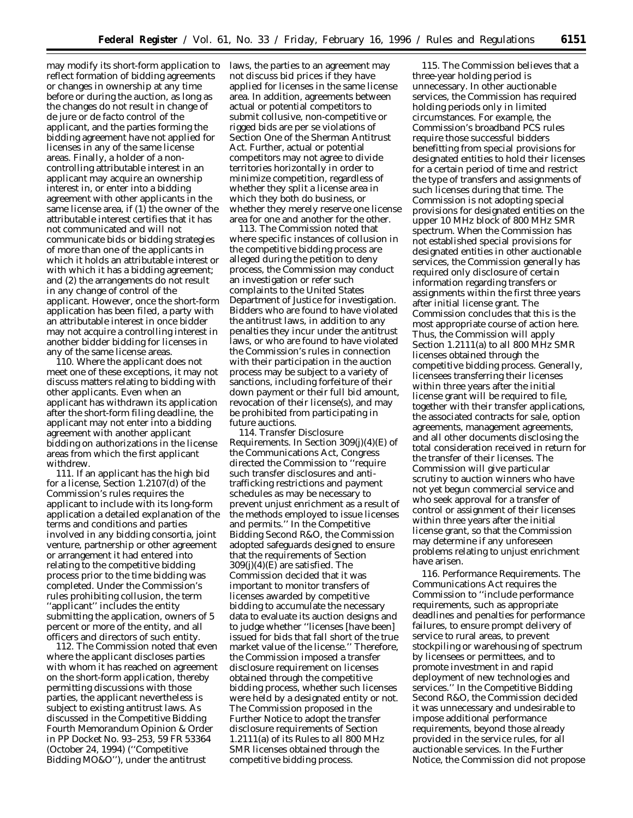may modify its short-form application to reflect formation of bidding agreements or changes in ownership at any time before or during the auction, as long as the changes do not result in change of *de jure* or *de facto* control of the applicant, and the parties forming the bidding agreement have not applied for licenses in any of the same license areas. Finally, a holder of a noncontrolling attributable interest in an applicant may acquire an ownership interest in, or enter into a bidding agreement with other applicants in the same license area, if (1) the owner of the attributable interest certifies that it has not communicated and will not communicate bids or bidding strategies of more than one of the applicants in which it holds an attributable interest or with which it has a bidding agreement; and (2) the arrangements do not result in any change of control of the applicant. However, once the short-form application has been filed, a party with an attributable interest in once bidder may not acquire a controlling interest in another bidder bidding for licenses in any of the same license areas.

110. Where the applicant does not meet one of these exceptions, it may not discuss matters relating to bidding with other applicants. Even when an applicant has withdrawn its application after the short-form filing deadline, the applicant may not enter into a bidding agreement with another applicant bidding on authorizations in the license areas from which the first applicant withdrew.

111. If an applicant has the high bid for a license, Section 1.2107(d) of the Commission's rules requires the applicant to include with its long-form application a detailed explanation of the terms and conditions and parties involved in any bidding consortia, joint venture, partnership or other agreement or arrangement it had entered into relating to the competitive bidding process prior to the time bidding was completed. Under the Commission's rules prohibiting collusion, the term ''applicant'' includes the entity submitting the application, owners of 5 percent or more of the entity, and all officers and directors of such entity.

112. The Commission noted that even where the applicant discloses parties with whom it has reached on agreement on the short-form application, thereby permitting discussions with those parties, the applicant nevertheless is subject to existing antitrust laws. As discussed in the *Competitive Bidding Fourth Memorandum Opinion & Order* in PP Docket No. 93–253, 59 FR 53364 (October 24, 1994) (*''Competitive Bidding MO&O''*), under the antitrust

laws, the parties to an agreement may not discuss bid prices if they have applied for licenses in the same license area. In addition, agreements between actual or potential competitors to submit collusive, non-competitive or rigged bids are *per se* violations of Section One of the Sherman Antitrust Act. Further, actual or potential competitors may not agree to divide territories horizontally in order to minimize competition, regardless of whether they split a license area in which they both do business, or whether they merely reserve one license area for one and another for the other.

113. The Commission noted that where specific instances of collusion in the competitive bidding process are alleged during the petition to deny process, the Commission may conduct an investigation or refer such complaints to the United States Department of Justice for investigation. Bidders who are found to have violated the antitrust laws, in addition to any penalties they incur under the antitrust laws, or who are found to have violated the Commission's rules in connection with their participation in the auction process may be subject to a variety of sanctions, including forfeiture of their down payment or their full bid amount, revocation of their license(s), and may be prohibited from participating in future auctions.

114. *Transfer Disclosure Requirements.* In Section 309(j)(4)(E) of the Communications Act, Congress directed the Commission to ''require such transfer disclosures and antitrafficking restrictions and payment schedules as may be necessary to prevent unjust enrichment as a result of the methods employed to issue licenses and permits.'' In the *Competitive Bidding Second R&O*, the Commission adopted safeguards designed to ensure that the requirements of Section 309(j)(4)(E) are satisfied. The Commission decided that it was important to monitor transfers of licenses awarded by competitive bidding to accumulate the necessary data to evaluate its auction designs and to judge whether ''licenses [have been] issued for bids that fall short of the true market value of the license.'' Therefore, the Commission imposed a transfer disclosure requirement on licenses obtained through the competitive bidding process, whether such licenses were held by a designated entity or not. The Commission proposed in the *Further Notice* to adopt the transfer disclosure requirements of Section 1.2111(a) of its Rules to all 800 MHz SMR licenses obtained through the competitive bidding process.

115. The Commission believes that a three-year holding period is unnecessary. In other auctionable services, the Commission has required holding periods only in limited circumstances. For example, the Commission's broadband PCS rules require those successful bidders benefitting from special provisions for designated entities to hold their licenses for a certain period of time and restrict the type of transfers and assignments of such licenses during that time. The Commission is not adopting special provisions for designated entities on the upper 10 MHz block of 800 MHz SMR spectrum. When the Commission has not established special provisions for designated entities in other auctionable services, the Commission generally has required only disclosure of certain information regarding transfers or assignments within the first three years after initial license grant. The Commission concludes that this is the most appropriate course of action here. Thus, the Commission will apply Section 1.2111(a) to all 800 MHz SMR licenses obtained through the competitive bidding process. Generally, licensees transferring their licenses within three years after the initial license grant will be required to file, together with their transfer applications, the associated contracts for sale, option agreements, management agreements, and all other documents disclosing the total consideration received in return for the transfer of their licenses. The Commission will give particular scrutiny to auction winners who have not yet begun commercial service and who seek approval for a transfer of control or assignment of their licenses within three years after the initial license grant, so that the Commission may determine if any unforeseen problems relating to unjust enrichment have arisen.

116. *Performance Requirements*. The Communications Act requires the Commission to ''include performance requirements, such as appropriate deadlines and penalties for performance failures, to ensure prompt delivery of service to rural areas, to prevent stockpiling or warehousing of spectrum by licensees or permittees, and to promote investment in and rapid deployment of new technologies and services.'' In the *Competitive Bidding Second R&O,* the Commission decided it was unnecessary and undesirable to impose additional performance requirements, beyond those already provided in the service rules, for all auctionable services. In the *Further Notice,* the Commission did not propose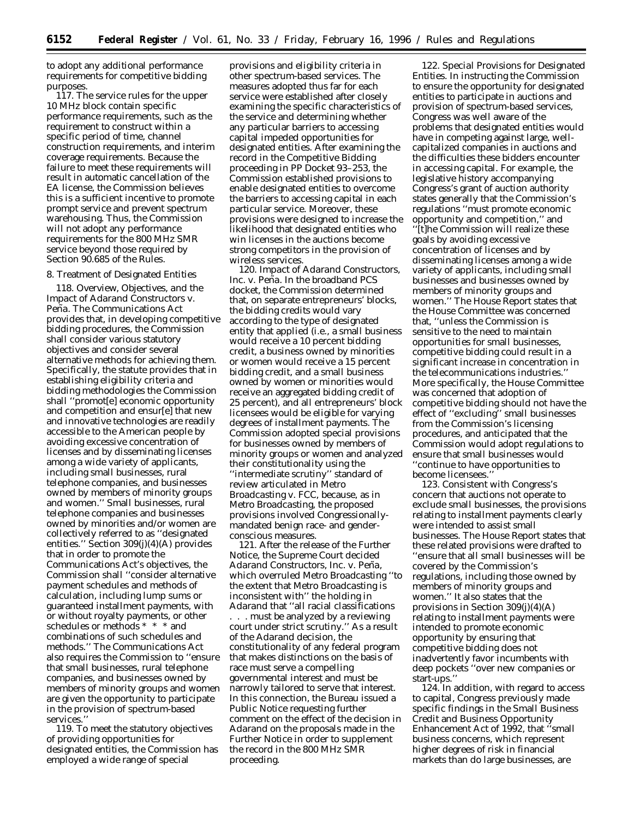to adopt any additional performance requirements for competitive bidding purposes.

117. The service rules for the upper 10 MHz block contain specific performance requirements, such as the requirement to construct within a specific period of time, channel construction requirements, and interim coverage requirements. Because the failure to meet these requirements will result in automatic cancellation of the EA license, the Commission believes this is a sufficient incentive to promote prompt service and prevent spectrum warehousing. Thus, the Commission will not adopt any performance requirements for the 800 MHz SMR service beyond those required by Section 90.685 of the Rules.

## 8. Treatment of Designated Entities

118. *Overview, Objectives, and the Impact of Adarand Constructors* v. *Peña*. The Communications Act provides that, in developing competitive bidding procedures, the Commission shall consider various statutory objectives and consider several alternative methods for achieving them. Specifically, the statute provides that in establishing eligibility criteria and bidding methodologies the Commission shall ''promot[e] economic opportunity and competition and ensur[e] that new and innovative technologies are readily accessible to the American people by avoiding excessive concentration of licenses and by disseminating licenses among a wide variety of applicants, including small businesses, rural telephone companies, and businesses owned by members of minority groups and women.'' Small businesses, rural telephone companies and businesses owned by minorities and/or women are collectively referred to as ''designated entities.'' Section 309(j)(4)(A) provides that in order to promote the Communications Act's objectives, the Commission shall ''consider alternative payment schedules and methods of calculation, including lump sums or guaranteed installment payments, with or without royalty payments, or other schedules or methods \* \* \* and combinations of such schedules and methods.'' The Communications Act also requires the Commission to ''ensure that small businesses, rural telephone companies, and businesses owned by members of minority groups and women are given the opportunity to participate in the provision of spectrum-based services.'

119. To meet the statutory objectives of providing opportunities for designated entities, the Commission has employed a wide range of special

provisions and eligibility criteria in other spectrum-based services. The measures adopted thus far for each service were established after closely examining the specific characteristics of the service and determining whether any particular barriers to accessing capital impeded opportunities for designated entities. After examining the record in the Competitive Bidding proceeding in PP Docket 93–253, the Commission established provisions to enable designated entities to overcome the barriers to accessing capital in each particular service. Moreover, these provisions were designed to increase the likelihood that designated entities who win licenses in the auctions become strong competitors in the provision of wireless services.

120. *Impact of Adarand Constructors, Inc.* v. *Peña.* In the broadband PCS docket, the Commission determined that, on separate entrepreneurs' blocks, the bidding credits would vary according to the type of designated entity that applied (*i.e.,* a small business would receive a 10 percent bidding credit, a business owned by minorities or women would receive a 15 percent bidding credit, and a small business owned by women or minorities would receive an aggregated bidding credit of 25 percent), and all entrepreneurs' block licensees would be eligible for varying degrees of installment payments. The Commission adopted special provisions for businesses owned by members of minority groups or women and analyzed their constitutionality using the ''intermediate scrutiny'' standard of review articulated in *Metro Broadcasting* v. *FCC*, because, as in *Metro Broadcasting*, the proposed provisions involved Congressionallymandated benign race- and genderconscious measures.

121. After the release of the *Further Notice*, the Supreme Court decided *Adarand Constructors, Inc.* v. *Pen˜ a,* which overruled *Metro Broadcasting* ''to the extent that *Metro Broadcasting* is inconsistent with'' the holding in *Adarand* that ''all racial classifications . . . must be analyzed by a reviewing court under strict scrutiny.'' As a result of the *Adarand* decision, the constitutionality of any federal program that makes distinctions on the basis of race must serve a compelling governmental interest and must be narrowly tailored to serve that interest. In this connection, the Bureau issued a Public Notice requesting further comment on the effect of the decision in *Adarand* on the proposals made in the *Further Notice* in order to supplement the record in the 800 MHz SMR proceeding.

122. *Special Provisions for Designated Entities.* In instructing the Commission to ensure the opportunity for designated entities to participate in auctions and provision of spectrum-based services, Congress was well aware of the problems that designated entities would have in competing against large, wellcapitalized companies in auctions and the difficulties these bidders encounter in accessing capital. For example, the legislative history accompanying Congress's grant of auction authority states generally that the Commission's regulations ''must promote economic opportunity and competition,'' and ''[t]he Commission will realize these goals by avoiding excessive concentration of licenses and by disseminating licenses among a wide variety of applicants, including small businesses and businesses owned by members of minority groups and women.'' The House Report states that the House Committee was concerned that, ''unless the Commission is sensitive to the need to maintain opportunities for small businesses, competitive bidding could result in a significant increase in concentration in the telecommunications industries.'' More specifically, the House Committee was concerned that adoption of competitive bidding should not have the effect of ''excluding'' small businesses from the Commission's licensing procedures, and anticipated that the Commission would adopt regulations to ensure that small businesses would ''continue to have opportunities to become licensees.''

123. Consistent with Congress's concern that auctions not operate to exclude small businesses, the provisions relating to installment payments clearly were intended to assist small businesses. The House Report states that these related provisions were drafted to ''ensure that all small businesses will be covered by the Commission's regulations, including those owned by members of minority groups and women.'' It also states that the provisions in Section 309(j)(4)(A) relating to installment payments were intended to promote economic opportunity by ensuring that competitive bidding does not inadvertently favor incumbents with deep pockets ''over new companies or start-ups.''

124. In addition, with regard to access to capital, Congress previously made specific findings in the Small Business Credit and Business Opportunity Enhancement Act of 1992, that ''small business concerns, which represent higher degrees of risk in financial markets than do large businesses, are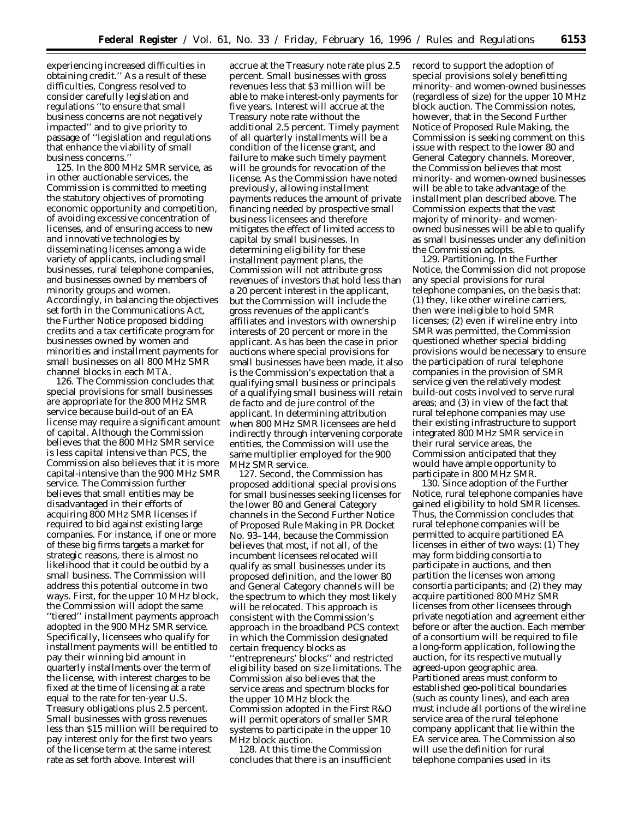experiencing increased difficulties in obtaining credit.'' As a result of these difficulties, Congress resolved to consider carefully legislation and regulations ''to ensure that small business concerns are not negatively impacted'' and to give priority to passage of ''legislation and regulations that enhance the viability of small business concerns.

125. In the 800 MHz SMR service, as in other auctionable services, the Commission is committed to meeting the statutory objectives of promoting economic opportunity and competition, of avoiding excessive concentration of licenses, and of ensuring access to new and innovative technologies by disseminating licenses among a wide variety of applicants, including small businesses, rural telephone companies, and businesses owned by members of minority groups and women. Accordingly, in balancing the objectives set forth in the Communications Act, the *Further Notice* proposed bidding credits and a tax certificate program for businesses owned by women and minorities and installment payments for small businesses on all 800 MHz SMR channel blocks in each MTA.

126. The Commission concludes that special provisions for small businesses are appropriate for the 800 MHz SMR service because build-out of an EA license may require a significant amount of capital. Although the Commission believes that the 800 MHz SMR service is less capital intensive than PCS, the Commission also believes that it is more capital-intensive than the 900 MHz SMR service. The Commission further believes that small entities may be disadvantaged in their efforts of acquiring 800 MHz SMR licenses if required to bid against existing large companies. For instance, if one or more of these big firms targets a market for strategic reasons, there is almost no likelihood that it could be outbid by a small business. The Commission will address this potential outcome in two ways. First, for the upper 10 MHz block, the Commission will adopt the same ''tiered'' installment payments approach adopted in the 900 MHz SMR service. Specifically, licensees who qualify for installment payments will be entitled to pay their winning bid amount in quarterly installments over the term of the license, with interest charges to be fixed at the time of licensing at a rate equal to the rate for ten-year U.S. Treasury obligations plus 2.5 percent. Small businesses with gross revenues less than \$15 million will be required to pay interest only for the first two years of the license term at the same interest rate as set forth above. Interest will

accrue at the Treasury note rate plus 2.5 percent. Small businesses with gross revenues less that \$3 million will be able to make interest-only payments for five years. Interest will accrue at the Treasury note rate without the additional 2.5 percent. Timely payment of all quarterly installments will be a condition of the license grant, and failure to make such timely payment will be grounds for revocation of the license. As the Commission have noted previously, allowing installment payments reduces the amount of private financing needed by prospective small business licensees and therefore mitigates the effect of limited access to capital by small businesses. In determining eligibility for these installment payment plans, the Commission will not attribute gross revenues of investors that hold less than a 20 percent interest in the applicant, but the Commission will include the gross revenues of the applicant's affiliates and investors with ownership interests of 20 percent or more in the applicant. As has been the case in prior auctions where special provisions for small businesses have been made, it also is the Commission's expectation that a qualifying small business or principals of a qualifying small business will retain *de facto* and *de jure* control of the applicant. In determining attribution when 800 MHz SMR licensees are held indirectly through intervening corporate entities, the Commission will use the same multiplier employed for the 900 MHz SMR service.

127. Second, the Commission has proposed additional special provisions for small businesses seeking licenses for the lower 80 and General Category channels in the *Second Further Notice of Proposed Rule Making* in PR Docket No. 93–144, because the Commission believes that most, if not all, of the incumbent licensees relocated will qualify as small businesses under its proposed definition, and the lower 80 and General Category channels will be the spectrum to which they most likely will be relocated. This approach is consistent with the Commission's approach in the broadband PCS context in which the Commission designated certain frequency blocks as ''entrepreneurs' blocks'' and restricted eligibility based on size limitations. The Commission also believes that the service areas and spectrum blocks for the upper 10 MHz block the Commission adopted in the *First R&O* will permit operators of smaller SMR systems to participate in the upper 10 MHz block auction.

128. At this time the Commission concludes that there is an insufficient record to support the adoption of special provisions solely benefitting minority- and women-owned businesses (regardless of size) for the upper 10 MHz block auction. The Commission notes, however, that in the *Second Further Notice of Proposed Rule Making,* the Commission is seeking comment on this issue with respect to the lower 80 and General Category channels. Moreover, the Commission believes that most minority- and women-owned businesses will be able to take advantage of the installment plan described above. The Commission expects that the vast majority of minority- and womenowned businesses will be able to qualify as small businesses under any definition the Commission adopts.

129. *Partitioning*. In the *Further Notice,* the Commission did not propose any special provisions for rural telephone companies, on the basis that: (1) they, like other wireline carriers, then were ineligible to hold SMR licenses; (2) even if wireline entry into SMR was permitted, the Commission questioned whether special bidding provisions would be necessary to ensure the participation of rural telephone companies in the provision of SMR service given the relatively modest build-out costs involved to serve rural areas; and (3) in view of the fact that rural telephone companies may use their existing infrastructure to support integrated 800 MHz SMR service in their rural service areas, the Commission anticipated that they would have ample opportunity to participate in 800 MHz SMR.

130. Since adoption of the *Further Notice,* rural telephone companies have gained eligibility to hold SMR licenses. Thus, the Commission concludes that rural telephone companies will be permitted to acquire partitioned EA licenses in either of two ways: (1) They may form bidding consortia to participate in auctions, and then partition the licenses won among consortia participants; and (2) they may acquire partitioned 800 MHz SMR licenses from other licensees through private negotiation and agreement either before or after the auction. Each member of a consortium will be required to file a long-form application, following the auction, for its respective mutually agreed-upon geographic area. Partitioned areas must conform to established geo-political boundaries (such as county lines), and each area must include all portions of the wireline service area of the rural telephone company applicant that lie within the EA service area. The Commission also will use the definition for rural telephone companies used in its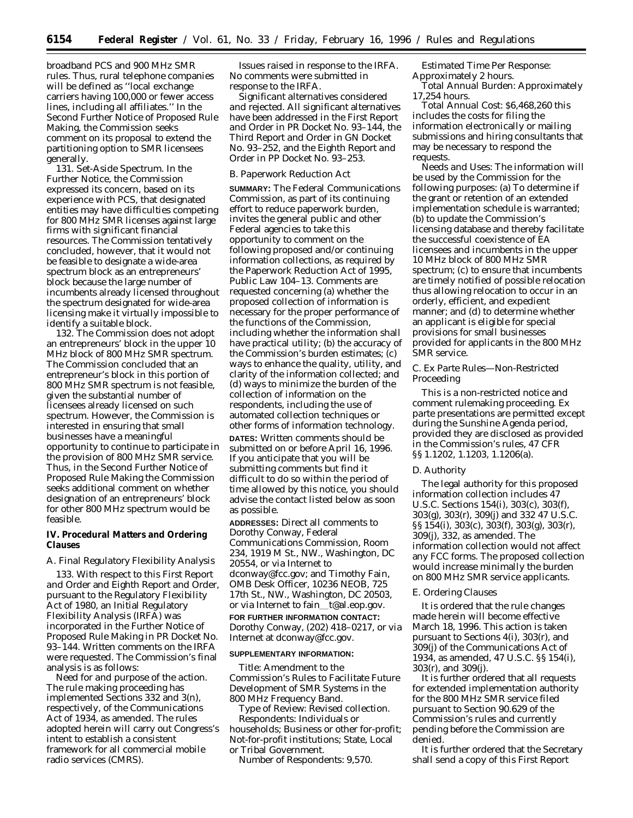broadband PCS and 900 MHz SMR rules. Thus, rural telephone companies will be defined as ''local exchange carriers having 100,000 or fewer access lines, including all affiliates.'' In the *Second Further Notice of Proposed Rule Making,* the Commission seeks comment on its proposal to extend the partitioning option to SMR licensees generally.

131. *Set-Aside Spectrum*. In the *Further Notice,* the Commission expressed its concern, based on its experience with PCS, that designated entities may have difficulties competing for 800 MHz SMR licenses against large firms with significant financial resources. The Commission tentatively concluded, however, that it would not be feasible to designate a wide-area spectrum block as an entrepreneurs' block because the large number of incumbents already licensed throughout the spectrum designated for wide-area licensing make it virtually impossible to identify a suitable block.

132. The Commission does not adopt an entrepreneurs' block in the upper 10 MHz block of 800 MHz SMR spectrum. The Commission concluded that an entrepreneur's block in this portion of 800 MHz SMR spectrum is not feasible, given the substantial number of licensees already licensed on such spectrum. However, the Commission is interested in ensuring that small businesses have a meaningful opportunity to continue to participate in the provision of 800 MHz SMR service. Thus, in the *Second Further Notice of Proposed Rule Making* the Commission seeks additional comment on whether designation of an entrepreneurs' block for other 800 MHz spectrum would be feasible.

**IV. Procedural Matters and Ordering Clauses**

# *A. Final Regulatory Flexibility Analysis*

133. With respect to this *First Report and Order* and *Eighth Report and Order,* pursuant to the Regulatory Flexibility Act of 1980, an Initial Regulatory Flexibility Analysis (IRFA) was incorporated in the *Further Notice of Proposed Rule Making* in PR Docket No. 93–144. Written comments on the IRFA were requested. The Commission's final analysis is as follows:

*Need for and purpose of the action*. The rule making proceeding has implemented Sections 332 and 3(n), respectively, of the Communications Act of 1934, as amended. The rules adopted herein will carry out Congress's intent to establish a consistent framework for all commercial mobile radio services (CMRS).

*Issues raised in response to the IRFA*. No comments were submitted in response to the IRFA.

*Significant alternatives considered and rejected*. All significant alternatives have been addressed in the *First Report and Order* in PR Docket No. 93–144, the *Third Report and Order* in GN Docket No. 93–252, and the *Eighth Report and Order* in PP Docket No. 93–253.

# *B. Paperwork Reduction Act*

**SUMMARY:** The Federal Communications Commission, as part of its continuing effort to reduce paperwork burden, invites the general public and other Federal agencies to take this opportunity to comment on the following proposed and/or continuing information collections, as required by the Paperwork Reduction Act of 1995, Public Law 104–13. Comments are requested concerning (a) whether the proposed collection of information is necessary for the proper performance of the functions of the Commission, including whether the information shall have practical utility; (b) the accuracy of the Commission's burden estimates; (c) ways to enhance the quality, utility, and clarity of the information collected; and (d) ways to minimize the burden of the collection of information on the respondents, including the use of automated collection techniques or other forms of information technology. **DATES:** Written comments should be

submitted on or before April 16, 1996. If you anticipate that you will be submitting comments but find it difficult to do so within the period of time allowed by this notice, you should advise the contact listed below as soon as possible.

**ADDRESSES:** Direct all comments to Dorothy Conway, Federal Communications Commission, Room 234, 1919 M St., NW., Washington, DC 20554, or via Internet to dconway@fcc.gov; and Timothy Fain, OMB Desk Officer, 10236 NEOB, 725 17th St., NW., Washington, DC 20503, or via Internet to fain\_t@al.eop.gov. **FOR FURTHER INFORMATION CONTACT:** Dorothy Conway, (202) 418–0217, or via Internet at dconway@fcc.gov.

#### **SUPPLEMENTARY INFORMATION:**

*Title:* Amendment to the Commission's Rules to Facilitate Future Development of SMR Systems in the 800 MHz Frequency Band.

*Type of Review:* Revised collection. *Respondents:* Individuals or households; Business or other for-profit; Not-for-profit institutions; State, Local or Tribal Government.

*Number of Respondents:* 9,570.

*Estimated Time Per Response:* Approximately 2 hours.

*Total Annual Burden:* Approximately 17,254 hours.

*Total Annual Cost:* \$6,468,260 this includes the costs for filing the information electronically or mailing submissions and hiring consultants that may be necessary to respond the requests.

*Needs and Uses:* The information will be used by the Commission for the following purposes: (a) To determine if the grant or retention of an extended implementation schedule is warranted; (b) to update the Commission's licensing database and thereby facilitate the successful coexistence of EA licensees and incumbents in the upper 10 MHz block of 800 MHz SMR spectrum; (c) to ensure that incumbents are timely notified of possible relocation thus allowing relocation to occur in an orderly, efficient, and expedient manner; and (d) to determine whether an applicant is eligible for special provisions for small businesses provided for applicants in the 800 MHz SMR service.

# *C. Ex Parte Rules—Non-Restricted Proceeding*

This is a non-restricted notice and comment rulemaking proceeding. *Ex parte* presentations are permitted except during the Sunshine Agenda period, provided they are disclosed as provided in the Commission's rules, 47 CFR §§ 1.1202, 1.1203, 1.1206(a).

#### *D. Authority*

The legal authority for this proposed information collection includes 47 U.S.C. Sections 154(i), 303(c), 303(f), 303(g), 303(r), 309(j) and 332 47 U.S.C. §§ 154(i), 303(c), 303(f), 303(g), 303(r), 309(j), 332, as amended. The information collection would not affect any FCC forms. The proposed collection would increase minimally the burden on 800 MHz SMR service applicants.

#### *E. Ordering Clauses*

It is ordered that the rule changes made herein will become effective March 18, 1996. This action is taken pursuant to Sections 4(i), 303(r), and 309(j) of the Communications Act of 1934, as amended, 47 U.S.C. §§ 154(i), 303(r), and 309(j).

It is further ordered that all requests for extended implementation authority for the 800 MHz SMR service filed pursuant to Section 90.629 of the Commission's rules and currently pending before the Commission are denied.

It is further ordered that the Secretary shall send a copy of this *First Report*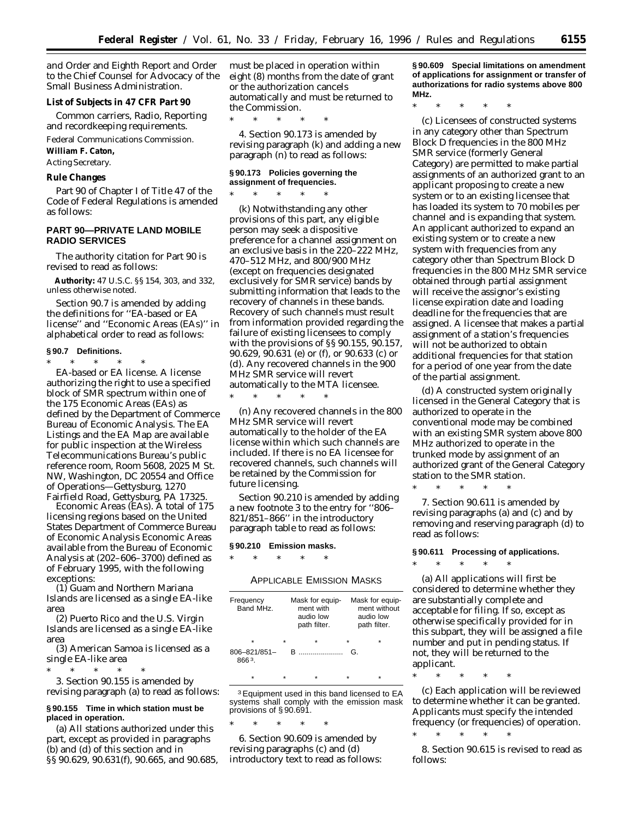*and Order* and *Eighth Report and Order* to the Chief Counsel for Advocacy of the Small Business Administration.

**List of Subjects in 47 CFR Part 90**

Common carriers, Radio, Reporting and recordkeeping requirements.

Federal Communications Commission.

**William F. Caton,**

*Acting Secretary.*

**Rule Changes**

Part 90 of Chapter I of Title 47 of the Code of Federal Regulations is amended as follows:

# **PART 90—PRIVATE LAND MOBILE RADIO SERVICES**

The authority citation for Part 90 is revised to read as follows:

**Authority:** 47 U.S.C. §§ 154, 303, and 332, unless otherwise noted.

Section 90.7 is amended by adding the definitions for ''EA-based or EA license'' and ''Economic Areas (EAs)'' in alphabetical order to read as follows:

**§ 90.7 Definitions.**

\* \* \* \* \* *EA-based or EA license.* A license authorizing the right to use a specified block of SMR spectrum within one of the 175 Economic Areas (EAs) as defined by the Department of Commerce Bureau of Economic Analysis. The EA Listings and the EA Map are available for public inspection at the Wireless Telecommunications Bureau's public reference room, Room 5608, 2025 M St. NW, Washington, DC 20554 and Office of Operations—Gettysburg, 1270 Fairfield Road, Gettysburg, PA 17325.

*Economic Areas (EAs).* A total of 175 licensing regions based on the United States Department of Commerce Bureau of Economic Analysis Economic Areas available from the Bureau of Economic Analysis at (202–606–3700) defined as of February 1995, with the following exceptions:

(1) Guam and Northern Mariana Islands are licensed as a single EA-like area

(2) Puerto Rico and the U.S. Virgin Islands are licensed as a single EA-like area

(3) American Samoa is licensed as a single EA-like area

\* \* \* \* \* 3. Section 90.155 is amended by revising paragraph (a) to read as follows:

## **§ 90.155 Time in which station must be placed in operation.**

(a) All stations authorized under this part, except as provided in paragraphs (b) and (d) of this section and in §§ 90.629, 90.631(f), 90.665, and 90.685, must be placed in operation within eight (8) months from the date of grant or the authorization cancels automatically and must be returned to the Commission.

\* \* \* \* \*

4. Section 90.173 is amended by revising paragraph (k) and adding a new paragraph (n) to read as follows:

#### **§ 90.173 Policies governing the assignment of frequencies.**

\* \* \* \* \*

(k) Notwithstanding any other provisions of this part, any eligible person may seek a dispositive preference for a channel assignment on an exclusive basis in the 220–222 MHz, 470–512 MHz, and 800/900 MHz (except on frequencies designated exclusively for SMR service) bands by submitting information that leads to the recovery of channels in these bands. Recovery of such channels must result from information provided regarding the failure of existing licensees to comply with the provisions of §§ 90.155, 90.157, 90.629, 90.631 (e) or (f), or 90.633 (c) or (d). Any recovered channels in the 900 MHz SMR service will revert automatically to the MTA licensee.

\* \* \* \* \*

(n) Any recovered channels in the 800 MHz SMR service will revert automatically to the holder of the EA license within which such channels are included. If there is no EA licensee for recovered channels, such channels will be retained by the Commission for future licensing.

Section 90.210 is amended by adding a new footnote 3 to the entry for ''806– 821/851–866'' in the introductory paragraph table to read as follows:

# **§ 90.210 Emission masks.**

\* \* \* \* \*

# APPLICABLE EMISSION MASKS

| Frequency<br>Band MHz.     |   | Mask for equip-<br>ment with<br>audio low<br>path filter.                                                                                                                                                                                                                                                                       |         | Mask for equip-<br>ment without<br>audio low<br>path filter. |
|----------------------------|---|---------------------------------------------------------------------------------------------------------------------------------------------------------------------------------------------------------------------------------------------------------------------------------------------------------------------------------|---------|--------------------------------------------------------------|
| ÷                          | ÷ | ÷                                                                                                                                                                                                                                                                                                                               | $\star$ | $\star$                                                      |
| $806 - 821/851 -$<br>8663. |   | $\mathsf B$ and $\mathsf B$ and $\mathsf B$ and $\mathsf B$ and $\mathsf B$ and $\mathsf B$ and $\mathsf B$ and $\mathsf B$ and $\mathsf B$ and $\mathsf B$ and $\mathsf B$ and $\mathsf B$ and $\mathsf B$ and $\mathsf B$ and $\mathsf B$ and $\mathsf B$ and $\mathsf B$ and $\mathsf B$ and $\mathsf B$ and $\mathsf B$ and | G       |                                                              |
|                            |   |                                                                                                                                                                                                                                                                                                                                 |         |                                                              |

<sup>3</sup> Equipment used in this band licensed to EA systems shall comply with the emission mask provisions of § 90.691.

\* \* \* \* \*

6. Section 90.609 is amended by revising paragraphs (c) and (d) introductory text to read as follows: **§ 90.609 Special limitations on amendment of applications for assignment or transfer of authorizations for radio systems above 800 MHz.**

\* \* \* \* \*

(c) Licensees of constructed systems in any category other than Spectrum Block D frequencies in the 800 MHz SMR service (formerly General Category) are permitted to make partial assignments of an authorized grant to an applicant proposing to create a new system or to an existing licensee that has loaded its system to 70 mobiles per channel and is expanding that system. An applicant authorized to expand an existing system or to create a new system with frequencies from any category other than Spectrum Block D frequencies in the 800 MHz SMR service obtained through partial assignment will receive the assignor's existing license expiration date and loading deadline for the frequencies that are assigned. A licensee that makes a partial assignment of a station's frequencies will not be authorized to obtain additional frequencies for that station for a period of one year from the date of the partial assignment.

(d) A constructed system originally licensed in the General Category that is authorized to operate in the conventional mode may be combined with an existing SMR system above 800 MHz authorized to operate in the trunked mode by assignment of an authorized grant of the General Category station to the SMR station.

7. Section 90.611 is amended by revising paragraphs (a) and (c) and by removing and reserving paragraph (d) to read as follows:

# **§ 90.611 Processing of applications.**

\* \* \* \* \*

\* \* \* \* \*

follows:

(a) All applications will first be considered to determine whether they are substantially complete and acceptable for filing. If so, except as otherwise specifically provided for in this subpart, they will be assigned a file number and put in pending status. If not, they will be returned to the applicant.

\* \* \* \* \*

(c) Each application will be reviewed to determine whether it can be granted. Applicants must specify the intended frequency (or frequencies) of operation.

\* \* \* \* \* 8. Section 90.615 is revised to read as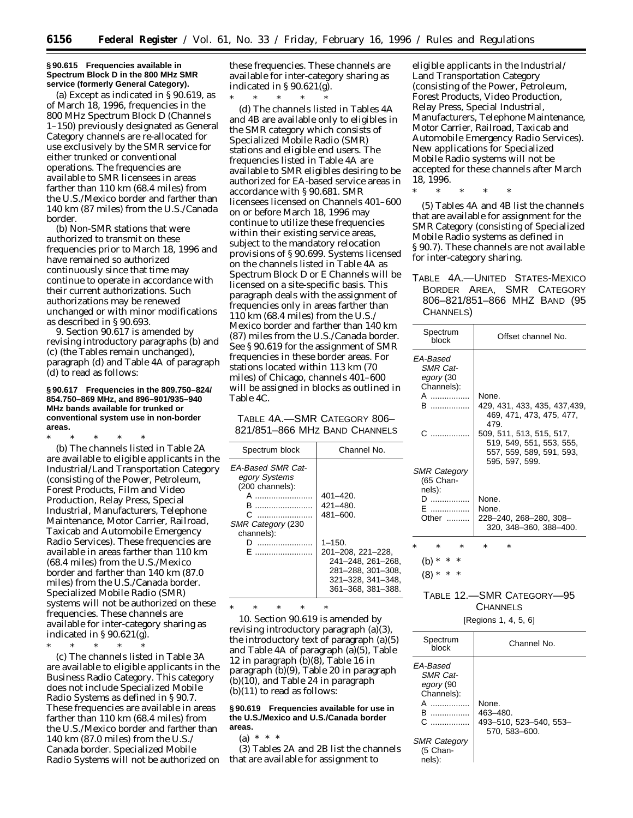#### **§ 90.615 Frequencies available in Spectrum Block D in the 800 MHz SMR service (formerly General Category).**

(a) Except as indicated in § 90.619, as of March 18, 1996, frequencies in the 800 MHz Spectrum Block D (Channels 1–150) previously designated as General Category channels are re-allocated for use exclusively by the SMR service for either trunked or conventional operations. The frequencies are available to SMR licensees in areas farther than 110 km (68.4 miles) from the U.S./Mexico border and farther than 140 km (87 miles) from the U.S./Canada border.

(b) Non-SMR stations that were authorized to transmit on these frequencies prior to March 18, 1996 and have remained so authorized continuously since that time may continue to operate in accordance with their current authorizations. Such authorizations may be renewed unchanged or with minor modifications as described in § 90.693.

9. Section 90.617 is amended by revising introductory paragraphs (b) and (c) (the Tables remain unchanged), paragraph (d) and Table 4A of paragraph (d) to read as follows:

## **§ 90.617 Frequencies in the 809.750–824/ 854.750–869 MHz, and 896–901/935–940 MHz bands available for trunked or conventional system use in non-border areas.**

\* \* \* \* \*

(b) The channels listed in Table 2A are available to eligible applicants in the Industrial/Land Transportation Category (consisting of the Power, Petroleum, Forest Products, Film and Video Production, Relay Press, Special Industrial, Manufacturers, Telephone Maintenance, Motor Carrier, Railroad, Taxicab and Automobile Emergency Radio Services). These frequencies are available in areas farther than 110 km (68.4 miles) from the U.S./Mexico border and farther than 140 km (87.0 miles) from the U.S./Canada border. Specialized Mobile Radio (SMR) systems will not be authorized on these frequencies. These channels are available for inter-category sharing as indicated in  $\S 90.621(g)$ .

\* \* \* \* \* (c) The channels listed in Table 3A are available to eligible applicants in the Business Radio Category. This category does not include Specialized Mobile Radio Systems as defined in § 90.7. These frequencies are available in areas farther than 110 km (68.4 miles) from the U.S./Mexico border and farther than 140 km (87.0 miles) from the U.S./ Canada border. Specialized Mobile Radio Systems will not be authorized on these frequencies. These channels are available for inter-category sharing as indicated in  $\S 90.621(g)$ .

\* \* \* \* \* (d) The channels listed in Tables 4A and 4B are available only to eligibles in the SMR category which consists of Specialized Mobile Radio (SMR) stations and eligible end users. The frequencies listed in Table 4A are available to SMR eligibles desiring to be authorized for EA-based service areas in accordance with § 90.681. SMR licensees licensed on Channels 401–600 on or before March 18, 1996 may continue to utilize these frequencies within their existing service areas, subject to the mandatory relocation provisions of § 90.699. Systems licensed on the channels listed in Table 4A as Spectrum Block D or E Channels will be licensed on a site-specific basis. This paragraph deals with the assignment of frequencies only in areas farther than 110 km (68.4 miles) from the U.S./ Mexico border and farther than 140 km (87) miles from the U.S./Canada border. See § 90.619 for the assignment of SMR frequencies in these border areas. For stations located within 113 km (70 miles) of Chicago, channels 401–600 will be assigned in blocks as outlined in Table 4C.

TABLE 4A.—SMR CATEGORY 806– 821/851–866 MHZ BAND CHANNELS

| Spectrum block                                                                                                        | Channel No.                                                                                                          |
|-----------------------------------------------------------------------------------------------------------------------|----------------------------------------------------------------------------------------------------------------------|
| <b>EA-Based SMR Cat-</b><br>egory Systems<br>(200 channels):<br>R<br>.<br>С<br><b>SMR Category (230</b><br>channels): | $401 - 420.$<br>421–480.<br>$481 - 600.$                                                                             |
|                                                                                                                       | $1 - 150$ .<br>201-208, 221-228.<br>241-248, 261-268.<br>281-288, 301-308,<br>321-328, 341-348.<br>361-368, 381-388. |

\* \* \* \* \* 10. Section 90.619 is amended by revising introductory paragraph (a)(3), the introductory text of paragraph (a)(5) and Table 4A of paragraph (a)(5), Table 12 in paragraph (b)(8), Table 16 in paragraph (b)(9), Table 20 in paragraph (b)(10), and Table 24 in paragraph

## **§ 90.619 Frequencies available for use in the U.S./Mexico and U.S./Canada border areas.**

(b)(11) to read as follows:

(a)  $* * * *$ 

(3) Tables 2A and 2B list the channels that are available for assignment to

eligible applicants in the Industrial/ Land Transportation Category (consisting of the Power, Petroleum, Forest Products, Video Production, Relay Press, Special Industrial, Manufacturers, Telephone Maintenance, Motor Carrier, Railroad, Taxicab and Automobile Emergency Radio Services). New applications for Specialized Mobile Radio systems will not be accepted for these channels after March 18, 1996.

(5) Tables 4A and 4B list the channels that are available for assignment for the SMR Category (consisting of Specialized Mobile Radio systems as defined in § 90.7). These channels are not available for inter-category sharing.

\* \* \* \* \*

# TABLE 4A.—UNITED STATES-MEXICO BORDER AREA, SMR CATEGORY 806–821/851–866 MHZ BAND (95 CHANNELS)

| Spectrum<br>block                                                                                          | Offset channel No.                                                                                                                                                               |
|------------------------------------------------------------------------------------------------------------|----------------------------------------------------------------------------------------------------------------------------------------------------------------------------------|
| EA-Based<br><b>SMR Cat-</b><br>egory (30<br>Channels):<br>$\mathsf{A}$ . The same set of $\mathsf{A}$<br>B | None.<br>429, 431, 433, 435, 437, 439,<br>469, 471, 473, 475, 477,<br>479.<br>509, 511, 513, 515, 517,<br>519, 549, 551, 553, 555,<br>557, 559, 589, 591, 593,<br>595, 597, 599. |
| <b>SMR Category</b><br>(65 Chan-<br>nels):<br>D<br>E<br>Other $\ldots$                                     | None.<br>None.<br>228-240, 268-280, 308-<br>320, 348-360, 388-400.                                                                                                               |
| *<br>$\ast$<br>*                                                                                           | *<br>ж                                                                                                                                                                           |
| *<br>(b)<br>$\ast$<br>ж<br>(8                                                                              |                                                                                                                                                                                  |

# TABLE 12.—SMR CATEGORY—95 **CHANNELS**

[Regions 1, 4, 5, 6]

| Spectrum<br>block                                                                                           | Channel No.                                                  |
|-------------------------------------------------------------------------------------------------------------|--------------------------------------------------------------|
| FA-Based<br>SMR Cat-<br>egory (90<br>Channels):<br>А<br>R<br>C<br><b>SMR Category</b><br>(5 Chan-<br>nels): | None.<br>463-480.<br>493-510, 523-540, 553-<br>570. 583-600. |
|                                                                                                             |                                                              |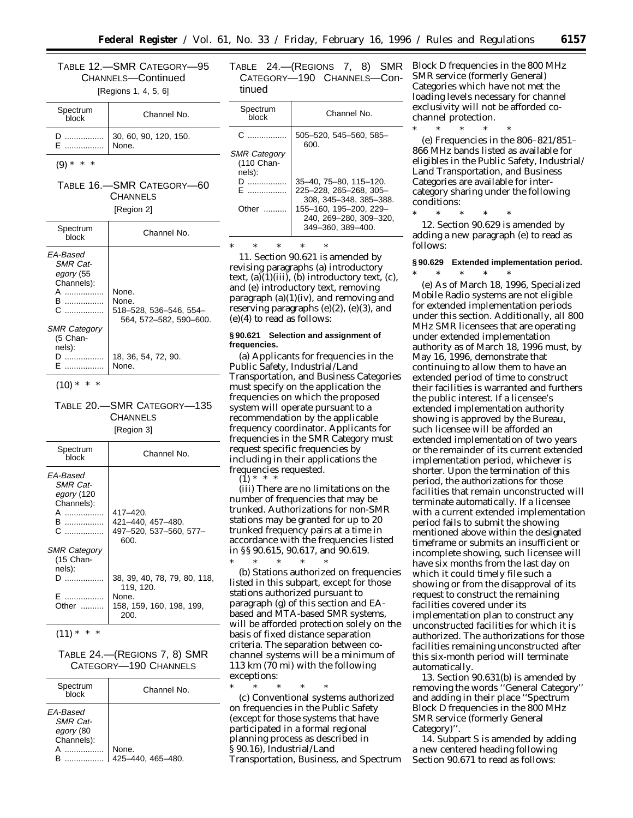TABLE 12.—SMR CATEGORY—95 CHANNELS—Continued

[Regions 1, 4, 5, 6]

| Spectrum<br>block | Channel No.                    |  |
|-------------------|--------------------------------|--|
|                   | 30, 60, 90, 120, 150.<br>None. |  |

 $(9) * * * *$ 

# TABLE 16.—SMR CATEGORY—60 **CHANNELS**

| [Region 2] |  |
|------------|--|
|            |  |

| Spectrum<br>block                                                          | Channel No.                                                        |
|----------------------------------------------------------------------------|--------------------------------------------------------------------|
| EA-Based<br><b>SMR Cat-</b><br>egory (55<br>Channels):<br>А<br>B<br>.<br>C | None.<br>None.<br>518-528, 536-546, 554-<br>564. 572-582. 590-600. |
| <b>SMR Category</b><br>(5 Chan-<br>nels):<br>n.                            | 18, 36, 54, 72, 90.<br>None.                                       |

 $(10) * * * *$ 

TABLE 20.—SMR CATEGORY—135 **CHANNELS** [Region 3]

| Spectrum<br>block                                                                           | Channel No.                                                     |
|---------------------------------------------------------------------------------------------|-----------------------------------------------------------------|
| <i><b>FA-Based</b></i><br><b>SMR Cat-</b><br>egory (120<br>Channels):<br>A<br>B ………………<br>C | 417–420.<br>421-440, 457-480.<br>497-520, 537-560, 577-<br>600. |
| <b>SMR Category</b><br>(15 Chan-<br>nels):                                                  |                                                                 |
| ח                                                                                           | 38, 39, 40, 78, 79, 80, 118,<br>119, 120.                       |
| .<br>Other                                                                                  | None.<br>158, 159, 160, 198, 199,<br>200.                       |

 $(11) * * * *$ 

TABLE 24.—(REGIONS 7, 8) SMR CATEGORY—190 CHANNELS

| Spectrum<br>hlock                                      | Channel No.                |
|--------------------------------------------------------|----------------------------|
| EA-Based<br><b>SMR Cat-</b><br>egory (80<br>Channels): | None.<br>425-440, 465-480. |

TABLE 24.—(REGIONS 7, 8) SMR CATEGORY—190 CHANNELS—Continued

| Spectrum<br>block   | Channel No.                    |
|---------------------|--------------------------------|
| C.                  | 505-520, 545-560, 585-<br>600. |
| <b>SMR Category</b> |                                |
| (110 Chan-          |                                |
| nels):              |                                |
| .                   | 35-40, 75-80, 115-120.         |
| F                   | 225-228, 265-268, 305-         |
|                     | 308. 345-348. 385-388.         |
| Other               | 155-160, 195-200, 229-         |
|                     | 240. 269-280. 309-320.         |
|                     | 349-360, 389-400.              |
|                     |                                |

\* \* \* \* \* 11. Section 90.621 is amended by revising paragraphs (a) introductory text,  $(a)(1)(iii)$ ,  $(b)$  introductory text,  $(c)$ ,

and (e) introductory text, removing paragraph (a)(1)(iv), and removing and reserving paragraphs (e)(2), (e)(3), and (e)(4) to read as follows:

# **§ 90.621 Selection and assignment of frequencies.**

(a) Applicants for frequencies in the Public Safety, Industrial/Land Transportation, and Business Categories must specify on the application the frequencies on which the proposed system will operate pursuant to a recommendation by the applicable frequency coordinator. Applicants for frequencies in the SMR Category must request specific frequencies by including in their applications the frequencies requested.  $(1) *$ 

(iii) There are no limitations on the number of frequencies that may be trunked. Authorizations for non-SMR stations may be granted for up to 20 trunked frequency pairs at a time in accordance with the frequencies listed in §§ 90.615, 90.617, and 90.619.

\* \* \* \* \* (b) Stations authorized on frequencies listed in this subpart, except for those stations authorized pursuant to paragraph (g) of this section and EAbased and MTA-based SMR systems, will be afforded protection solely on the basis of fixed distance separation criteria. The separation between cochannel systems will be a minimum of 113 km (70 mi) with the following exceptions:

\* \* \* \* \* (c) Conventional systems authorized on frequencies in the Public Safety (except for those systems that have participated in a formal regional planning process as described in § 90.16), Industrial/Land Transportation, Business, and Spectrum Block D frequencies in the 800 MHz SMR service (formerly General) Categories which have not met the loading levels necessary for channel exclusivity will not be afforded cochannel protection.

\* \* \* \* \* (e) Frequencies in the 806–821/851– 866 MHz bands listed as available for eligibles in the Public Safety, Industrial/ Land Transportation, and Business Categories are available for intercategory sharing under the following conditions:

\* \* \* \* \* 12. Section 90.629 is amended by adding a new paragraph (e) to read as follows:

# **§ 90.629 Extended implementation period.**

\* \* \* \* \* (e) As of March 18, 1996, Specialized Mobile Radio systems are not eligible for extended implementation periods under this section. Additionally, all 800 MHz SMR licensees that are operating under extended implementation authority as of March 18, 1996 must, by May 16, 1996, demonstrate that continuing to allow them to have an extended period of time to construct their facilities is warranted and furthers the public interest. If a licensee's extended implementation authority showing is approved by the Bureau, such licensee will be afforded an extended implementation of two years or the remainder of its current extended implementation period, whichever is shorter. Upon the termination of this period, the authorizations for those facilities that remain unconstructed will terminate automatically. If a licensee with a current extended implementation period fails to submit the showing mentioned above within the designated timeframe or submits an insufficient or incomplete showing, such licensee will have six months from the last day on which it could timely file such a showing or from the disapproval of its request to construct the remaining facilities covered under its implementation plan to construct any unconstructed facilities for which it is authorized. The authorizations for those facilities remaining unconstructed after this six-month period will terminate automatically.

13. Section 90.631(b) is amended by removing the words ''General Category'' and adding in their place ''Spectrum Block D frequencies in the 800 MHz SMR service (formerly General Category)''.

14. Subpart S is amended by adding a new centered heading following Section 90.671 to read as follows: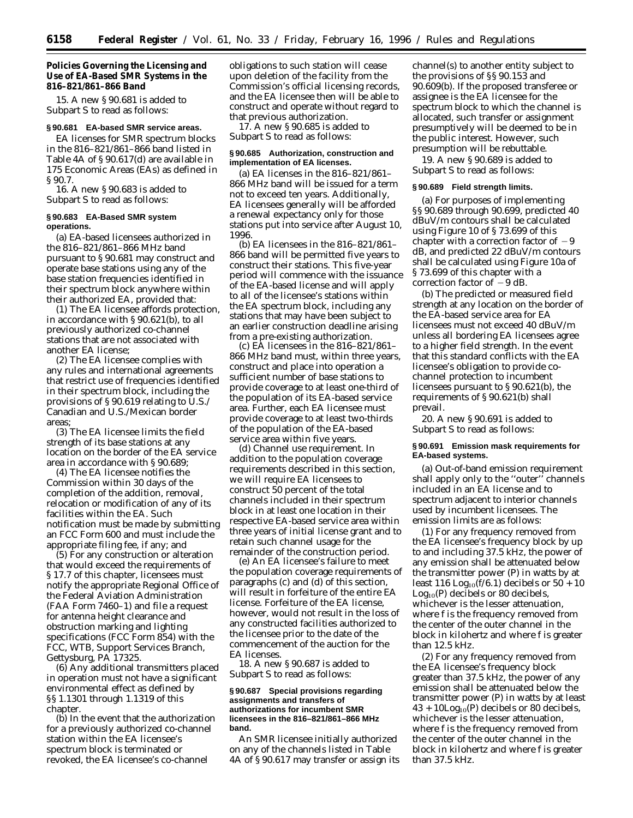**Policies Governing the Licensing and Use of EA-Based SMR Systems in the 816–821/861–866 Band**

15. A new § 90.681 is added to Subpart S to read as follows:

## **§ 90.681 EA-based SMR service areas.**

EA licenses for SMR spectrum blocks in the 816–821/861–866 band listed in Table 4A of § 90.617(d) are available in 175 Economic Areas (EAs) as defined in § 90.7.

16. A new § 90.683 is added to Subpart S to read as follows:

#### **§ 90.683 EA-Based SMR system operations.**

(a) EA-based licensees authorized in the 816–821/861–866 MHz band pursuant to § 90.681 may construct and operate base stations using any of the base station frequencies identified in their spectrum block anywhere within their authorized EA, provided that:

(1) The EA licensee affords protection, in accordance with § 90.621(b), to all previously authorized co-channel stations that are not associated with another EA license;

(2) The EA licensee complies with any rules and international agreements that restrict use of frequencies identified in their spectrum block, including the provisions of §90.619 relating to U.S./ Canadian and U.S./Mexican border areas;

(3) The EA licensee limits the field strength of its base stations at any location on the border of the EA service area in accordance with § 90.689;

(4) The EA licensee notifies the Commission within 30 days of the completion of the addition, removal, relocation or modification of any of its facilities within the EA. Such notification must be made by submitting an FCC Form 600 and must include the appropriate filing fee, if any; and

(5) For any construction or alteration that would exceed the requirements of § 17.7 of this chapter, licensees must notify the appropriate Regional Office of the Federal Aviation Administration (FAA Form 7460–1) and file a request for antenna height clearance and obstruction marking and lighting specifications (FCC Form 854) with the FCC, WTB, Support Services Branch, Gettysburg, PA 17325.

(6) Any additional transmitters placed in operation must not have a significant environmental effect as defined by §§ 1.1301 through 1.1319 of this chapter.

(b) In the event that the authorization for a previously authorized co-channel station within the EA licensee's spectrum block is terminated or revoked, the EA licensee's co-channel

obligations to such station will cease upon deletion of the facility from the Commission's official licensing records, and the EA licensee then will be able to construct and operate without regard to that previous authorization.

17. A new § 90.685 is added to Subpart S to read as follows:

# **§ 90.685 Authorization, construction and implementation of EA licenses.**

(a) EA licenses in the 816–821/861– 866 MHz band will be issued for a term not to exceed ten years. Additionally, EA licensees generally will be afforded a renewal expectancy only for those stations put into service after August 10, 1996.

(b) EA licensees in the 816–821/861– 866 band will be permitted five years to construct their stations. This five-year period will commence with the issuance of the EA-based license and will apply to all of the licensee's stations within the EA spectrum block, including any stations that may have been subject to an earlier construction deadline arising from a pre-existing authorization.

(c) EA licensees in the 816–821/861– 866 MHz band must, within three years, construct and place into operation a sufficient number of base stations to provide coverage to at least one-third of the population of its EA-based service area. Further, each EA licensee must provide coverage to at least two-thirds of the population of the EA-based service area within five years.

(d) *Channel use requirement.* In addition to the population coverage requirements described in this section, we will require EA licensees to construct 50 percent of the total channels included in their spectrum block in at least one location in their respective EA-based service area within three years of initial license grant and to retain such channel usage for the remainder of the construction period.

(e) An EA licensee's failure to meet the population coverage requirements of paragraphs (c) and (d) of this section, will result in forfeiture of the entire EA license. Forfeiture of the EA license, however, would not result in the loss of any constructed facilities authorized to the licensee prior to the date of the commencement of the auction for the EA licenses.

18. A new § 90.687 is added to Subpart S to read as follows:

## **§ 90.687 Special provisions regarding assignments and transfers of authorizations for incumbent SMR licensees in the 816–821/861–866 MHz band.**

An SMR licensee initially authorized on any of the channels listed in Table 4A of § 90.617 may transfer or assign its

channel(s) to another entity subject to the provisions of §§ 90.153 and 90.609(b). If the proposed transferee or assignee is the EA licensee for the spectrum block to which the channel is allocated, such transfer or assignment presumptively will be deemed to be in the public interest. However, such presumption will be rebuttable.

19. A new § 90.689 is added to Subpart S to read as follows:

#### **§ 90.689 Field strength limits.**

(a) For purposes of implementing §§ 90.689 through 90.699, predicted 40 dBuV/m contours shall be calculated using Figure 10 of § 73.699 of this chapter with a correction factor of  $-9$ dB, and predicted 22 dBuV/m contours shall be calculated using Figure 10a of § 73.699 of this chapter with a correction factor of  $-9$  dB.

(b) The predicted or measured field strength at any location on the border of the EA-based service area for EA licensees must not exceed 40 dBuV/m unless all bordering EA licensees agree to a higher field strength. In the event that this standard conflicts with the EA licensee's obligation to provide cochannel protection to incumbent licensees pursuant to § 90.621(b), the requirements of § 90.621(b) shall prevail.

20. A new § 90.691 is added to Subpart S to read as follows:

## **§ 90.691 Emission mask requirements for EA-based systems.**

(a) Out-of-band emission requirement shall apply only to the ''outer'' channels included in an EA license and to spectrum adjacent to interior channels used by incumbent licensees. The emission limits are as follows:

(1) For any frequency removed from the EA licensee's frequency block by up to and including 37.5 kHz, the power of any emission shall be attenuated below the transmitter power (P) in watts by at least 116 Log<sub>10</sub>(f/6.1) decibels or  $50 + 10$  $Log<sub>10</sub>(P)$  decibels or 80 decibels, whichever is the lesser attenuation, where f is the frequency removed from the center of the outer channel in the block in kilohertz and where f is greater than 12.5 kHz.

(2) For any frequency removed from the EA licensee's frequency block greater than 37.5 kHz, the power of any emission shall be attenuated below the transmitter power (P) in watts by at least  $43 + 10\text{Log}_{10}(P)$  decibels or 80 decibels, whichever is the lesser attenuation, where f is the frequency removed from the center of the outer channel in the block in kilohertz and where f is greater than 37.5 kHz.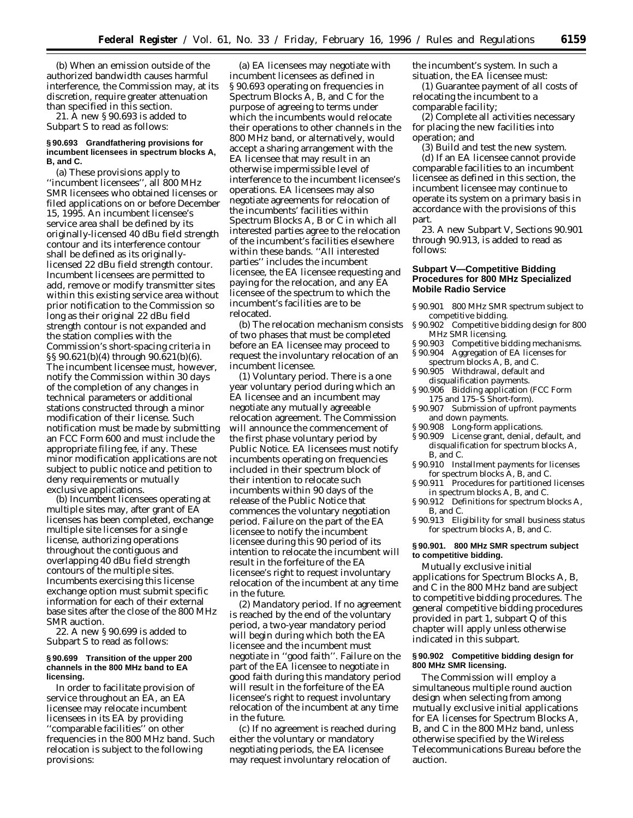(b) When an emission outside of the authorized bandwidth causes harmful interference, the Commission may, at its discretion, require greater attenuation than specified in this section.

21. A new § 90.693 is added to Subpart S to read as follows:

#### **§ 90.693 Grandfathering provisions for incumbent licensees in spectrum blocks A, B, and C.**

(a) These provisions apply to ''incumbent licensees'', all 800 MHz SMR licensees who obtained licenses or filed applications on or before December 15, 1995. An incumbent licensee's service area shall be defined by its originally-licensed 40 dBu field strength contour and its interference contour shall be defined as its originallylicensed 22 dBu field strength contour. Incumbent licensees are permitted to add, remove or modify transmitter sites within this existing service area without prior notification to the Commission so long as their original 22 dBu field strength contour is not expanded and the station complies with the Commission's short-spacing criteria in §§ 90.621(b)(4) through 90.621(b)(6). The incumbent licensee must, however, notify the Commission within 30 days of the completion of any changes in technical parameters or additional stations constructed through a minor modification of their license. Such notification must be made by submitting an FCC Form 600 and must include the appropriate filing fee, if any. These minor modification applications are not subject to public notice and petition to deny requirements or mutually exclusive applications.

(b) Incumbent licensees operating at multiple sites may, after grant of EA licenses has been completed, exchange multiple site licenses for a single license, authorizing operations throughout the contiguous and overlapping 40 dBu field strength contours of the multiple sites. Incumbents exercising this license exchange option must submit specific information for each of their external base sites after the close of the 800 MHz SMR auction.

22. A new § 90.699 is added to Subpart S to read as follows:

#### **§ 90.699 Transition of the upper 200 channels in the 800 MHz band to EA licensing.**

In order to facilitate provision of service throughout an EA, an EA licensee may relocate incumbent licensees in its EA by providing ''comparable facilities'' on other frequencies in the 800 MHz band. Such relocation is subject to the following provisions:

(a) EA licensees may negotiate with incumbent licensees as defined in § 90.693 operating on frequencies in Spectrum Blocks A, B, and C for the purpose of agreeing to terms under which the incumbents would relocate their operations to other channels in the 800 MHz band, or alternatively, would accept a sharing arrangement with the EA licensee that may result in an otherwise impermissible level of interference to the incumbent licensee's operations. EA licensees may also negotiate agreements for relocation of the incumbents' facilities within Spectrum Blocks A, B or C in which all interested parties agree to the relocation of the incumbent's facilities elsewhere within these bands. ''All interested parties'' includes the incumbent licensee, the EA licensee requesting and paying for the relocation, and any EA licensee of the spectrum to which the incumbent's facilities are to be relocated.

(b) The relocation mechanism consists of two phases that must be completed before an EA licensee may proceed to request the involuntary relocation of an incumbent licensee.

(1) *Voluntary period.* There is a one year voluntary period during which an EA licensee and an incumbent may negotiate any mutually agreeable relocation agreement. The Commission will announce the commencement of the first phase voluntary period by Public Notice. EA licensees must notify incumbents operating on frequencies included in their spectrum block of their intention to relocate such incumbents within 90 days of the release of the Public Notice that commences the voluntary negotiation period. Failure on the part of the EA licensee to notify the incumbent licensee during this 90 period of its intention to relocate the incumbent will result in the forfeiture of the EA licensee's right to request involuntary relocation of the incumbent at any time in the future.

(2) *Mandatory period.* If no agreement is reached by the end of the voluntary period, a two-year mandatory period will begin during which both the EA licensee and the incumbent must negotiate in ''good faith''. Failure on the part of the EA licensee to negotiate in good faith during this mandatory period will result in the forfeiture of the EA licensee's right to request involuntary relocation of the incumbent at any time in the future.

(c) If no agreement is reached during either the voluntary or mandatory negotiating periods, the EA licensee may request involuntary relocation of

the incumbent's system. In such a situation, the EA licensee must:

(1) Guarantee payment of all costs of relocating the incumbent to a comparable facility;

(2) Complete all activities necessary for placing the new facilities into operation; and

(3) Build and test the new system.

(d) If an EA licensee cannot provide comparable facilities to an incumbent licensee as defined in this section, the incumbent licensee may continue to operate its system on a primary basis in accordance with the provisions of this part.

23. A new Subpart V, Sections 90.901 through 90.913, is added to read as follows:

# **Subpart V—Competitive Bidding Procedures for 800 MHz Specialized Mobile Radio Service**

- § 90.901 800 MHz SMR spectrum subject to competitive bidding.
- § 90.902 Competitive bidding design for 800 MHz SMR licensing.
- § 90.903 Competitive bidding mechanisms.
- § 90.904 Aggregation of EA licenses for
- spectrum blocks A, B, and C. § 90.905 Withdrawal, default and disqualification payments.
- § 90.906 Bidding application (FCC Form 175 and 175–S Short-form).
- § 90.907 Submission of upfront payments and down payments.
- § 90.908 Long-form applications.
- § 90.909 License grant, denial, default, and disqualification for spectrum blocks A, B, and C.
- § 90.910 Installment payments for licenses for spectrum blocks A, B, and C.
- § 90.911 Procedures for partitioned licenses in spectrum blocks A, B, and C.
- § 90.912 Definitions for spectrum blocks A, B, and C.
- § 90.913 Eligibility for small business status for spectrum blocks A, B, and C.

## **§ 90.901. 800 MHz SMR spectrum subject to competitive bidding.**

Mutually exclusive initial applications for Spectrum Blocks A, B, and C in the 800 MHz band are subject to competitive bidding procedures. The general competitive bidding procedures provided in part 1, subpart Q of this chapter will apply unless otherwise indicated in this subpart.

#### **§ 90.902 Competitive bidding design for 800 MHz SMR licensing.**

The Commission will employ a simultaneous multiple round auction design when selecting from among mutually exclusive initial applications for EA licenses for Spectrum Blocks A, B, and C in the 800 MHz band, unless otherwise specified by the Wireless Telecommunications Bureau before the auction.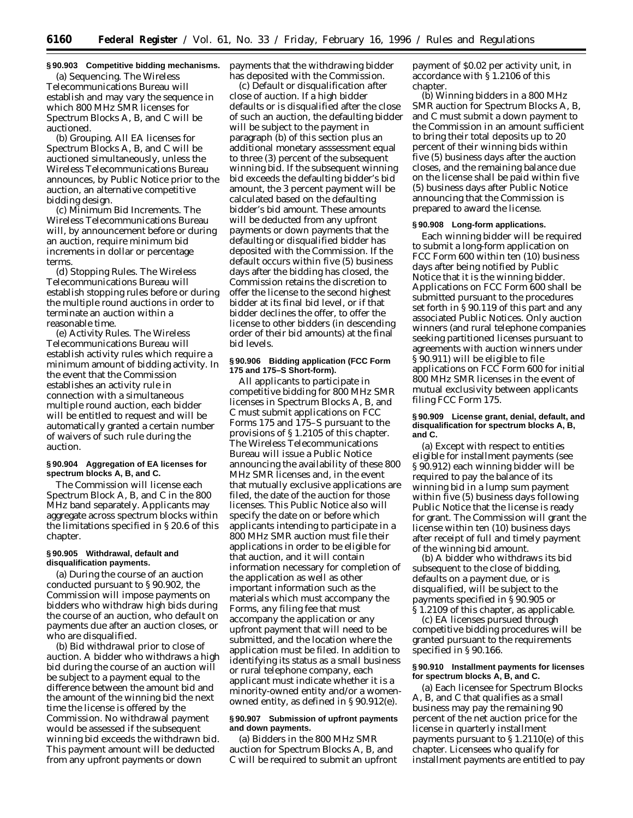# **§ 90.903 Competitive bidding mechanisms.**

(a) *Sequencing.* The Wireless Telecommunications Bureau will establish and may vary the sequence in which 800 MHz SMR licenses for Spectrum Blocks A, B, and C will be auctioned.

(b) *Grouping.* All EA licenses for Spectrum Blocks A, B, and C will be auctioned simultaneously, unless the Wireless Telecommunications Bureau announces, by Public Notice prior to the auction, an alternative competitive bidding design.

(c) *Minimum Bid Increments.* The Wireless Telecommunications Bureau will, by announcement before or during an auction, require minimum bid increments in dollar or percentage terms.

(d) *Stopping Rules.* The Wireless Telecommunications Bureau will establish stopping rules before or during the multiple round auctions in order to terminate an auction within a reasonable time.

(e) *Activity Rules.* The Wireless Telecommunications Bureau will establish activity rules which require a minimum amount of bidding activity. In the event that the Commission establishes an activity rule in connection with a simultaneous multiple round auction, each bidder will be entitled to request and will be automatically granted a certain number of waivers of such rule during the auction.

# **§ 90.904 Aggregation of EA licenses for spectrum blocks A, B, and C.**

The Commission will license each Spectrum Block A, B, and C in the 800 MHz band separately. Applicants may aggregate across spectrum blocks within the limitations specified in § 20.6 of this chapter.

# **§ 90.905 Withdrawal, default and disqualification payments.**

(a) During the course of an auction conducted pursuant to § 90.902, the Commission will impose payments on bidders who withdraw high bids during the course of an auction, who default on payments due after an auction closes, or who are disqualified.

(b) *Bid withdrawal prior to close of auction.* A bidder who withdraws a high bid during the course of an auction will be subject to a payment equal to the difference between the amount bid and the amount of the winning bid the next time the license is offered by the Commission. No withdrawal payment would be assessed if the subsequent winning bid exceeds the withdrawn bid. This payment amount will be deducted from any upfront payments or down

payments that the withdrawing bidder has deposited with the Commission.

(c) *Default or disqualification after close of auction.* If a high bidder defaults or is disqualified after the close of such an auction, the defaulting bidder will be subject to the payment in paragraph (b) of this section plus an additional monetary asssessment equal to three (3) percent of the subsequent winning bid. If the subsequent winning bid exceeds the defaulting bidder's bid amount, the 3 percent payment will be calculated based on the defaulting bidder's bid amount. These amounts will be deducted from any upfront payments or down payments that the defaulting or disqualified bidder has deposited with the Commission. If the default occurs within five (5) business days after the bidding has closed, the Commission retains the discretion to offer the license to the second highest bidder at its final bid level, or if that bidder declines the offer, to offer the license to other bidders (in descending order of their bid amounts) at the final bid levels.

#### **§ 90.906 Bidding application (FCC Form 175 and 175–S Short-form).**

All applicants to participate in competitive bidding for 800 MHz SMR licenses in Spectrum Blocks A, B, and C must submit applications on FCC Forms 175 and 175–S pursuant to the provisions of § 1.2105 of this chapter. The Wireless Telecommunications Bureau will issue a Public Notice announcing the availability of these 800 MHz SMR licenses and, in the event that mutually exclusive applications are filed, the date of the auction for those licenses. This Public Notice also will specify the date on or before which applicants intending to participate in a 800 MHz SMR auction must file their applications in order to be eligible for that auction, and it will contain information necessary for completion of the application as well as other important information such as the materials which must accompany the Forms, any filing fee that must accompany the application or any upfront payment that will need to be submitted, and the location where the application must be filed. In addition to identifying its status as a small business or rural telephone company, each applicant must indicate whether it is a minority-owned entity and/or a womenowned entity, as defined in § 90.912(e).

# **§ 90.907 Submission of upfront payments and down payments.**

(a) Bidders in the 800 MHz SMR auction for Spectrum Blocks A, B, and C will be required to submit an upfront payment of \$0.02 per activity unit, in accordance with § 1.2106 of this chapter.

(b) Winning bidders in a 800 MHz SMR auction for Spectrum Blocks A, B, and C must submit a down payment to the Commission in an amount sufficient to bring their total deposits up to 20 percent of their winning bids within five (5) business days after the auction closes, and the remaining balance due on the license shall be paid within five (5) business days after Public Notice announcing that the Commission is prepared to award the license.

#### **§ 90.908 Long-form applications.**

Each winning bidder will be required to submit a long-form application on FCC Form 600 within ten (10) business days after being notified by Public Notice that it is the winning bidder. Applications on FCC Form 600 shall be submitted pursuant to the procedures set forth in § 90.119 of this part and any associated Public Notices. Only auction winners (and rural telephone companies seeking partitioned licenses pursuant to agreements with auction winners under § 90.911) will be eligible to file applications on FCC Form 600 for initial 800 MHz SMR licenses in the event of mutual exclusivity between applicants filing FCC Form 175.

#### **§ 90.909 License grant, denial, default, and disqualification for spectrum blocks A, B, and C.**

(a) Except with respect to entities eligible for installment payments (*see* § 90.912) each winning bidder will be required to pay the balance of its winning bid in a lump sum payment within five (5) business days following Public Notice that the license is ready for grant. The Commission will grant the license within ten (10) business days after receipt of full and timely payment of the winning bid amount.

(b) A bidder who withdraws its bid subsequent to the close of bidding, defaults on a payment due, or is disqualified, will be subject to the payments specified in § 90.905 or § 1.2109 of this chapter, as applicable.

(c) EA licenses pursued through competitive bidding procedures will be granted pursuant to the requirements specified in § 90.166.

#### **§ 90.910 Installment payments for licenses for spectrum blocks A, B, and C.**

(a) Each licensee for Spectrum Blocks A, B, and C that qualifies as a small business may pay the remaining 90 percent of the net auction price for the license in quarterly installment payments pursuant to § 1.2110(e) of this chapter. Licensees who qualify for installment payments are entitled to pay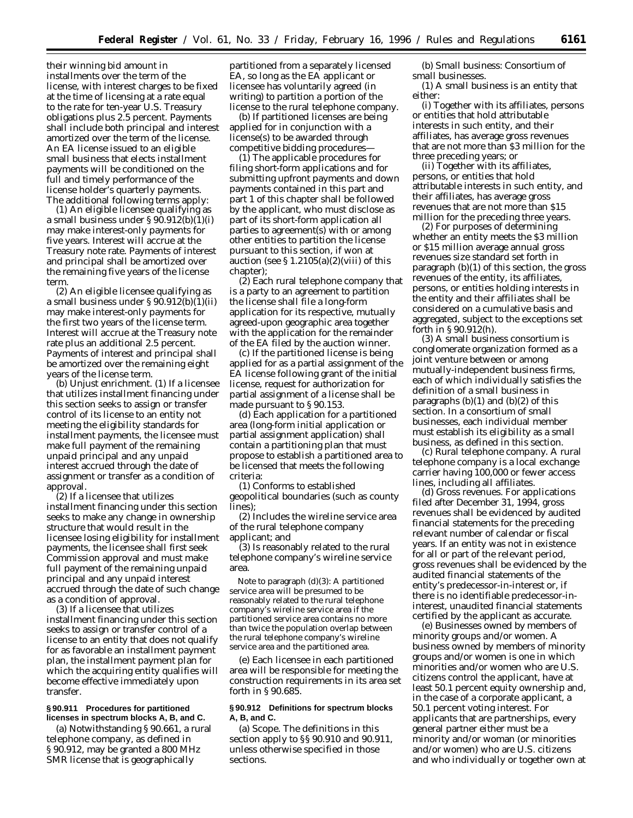their winning bid amount in installments over the term of the license, with interest charges to be fixed at the time of licensing at a rate equal to the rate for ten-year U.S. Treasury obligations plus 2.5 percent. Payments shall include both principal and interest amortized over the term of the license. An EA license issued to an eligible small business that elects installment payments will be conditioned on the full and timely performance of the license holder's quarterly payments. The additional following terms apply:

(1) An eligible licensee qualifying as a small business under § 90.912(b)(1)(i) may make interest-only payments for five years. Interest will accrue at the Treasury note rate. Payments of interest and principal shall be amortized over the remaining five years of the license term.

(2) An eligible licensee qualifying as a small business under § 90.912(b)(1)(ii) may make interest-only payments for the first two years of the license term. Interest will accrue at the Treasury note rate plus an additional 2.5 percent. Payments of interest and principal shall be amortized over the remaining eight years of the license term.

(b) *Unjust enrichment.* (1) If a licensee that utilizes installment financing under this section seeks to assign or transfer control of its license to an entity not meeting the eligibility standards for installment payments, the licensee must make full payment of the remaining unpaid principal and any unpaid interest accrued through the date of assignment or transfer as a condition of approval.

(2) If a licensee that utilizes installment financing under this section seeks to make any change in ownership structure that would result in the licensee losing eligibility for installment payments, the licensee shall first seek Commission approval and must make full payment of the remaining unpaid principal and any unpaid interest accrued through the date of such change as a condition of approval.

(3) If a licensee that utilizes installment financing under this section seeks to assign or transfer control of a license to an entity that does not qualify for as favorable an installment payment plan, the installment payment plan for which the acquiring entity qualifies will become effective immediately upon transfer.

# **§ 90.911 Procedures for partitioned licenses in spectrum blocks A, B, and C.**

(a) Notwithstanding § 90.661, a rural telephone company, as defined in § 90.912, may be granted a 800 MHz SMR license that is geographically

partitioned from a separately licensed EA, so long as the EA applicant or licensee has voluntarily agreed (in writing) to partition a portion of the license to the rural telephone company.

(b) If partitioned licenses are being applied for in conjunction with a license(s) to be awarded through competitive bidding procedures—

(1) The applicable procedures for filing short-form applications and for submitting upfront payments and down payments contained in this part and part 1 of this chapter shall be followed by the applicant, who must disclose as part of its short-form application all parties to agreement(s) with or among other entities to partition the license pursuant to this section, if won at auction (see  $\S 1.2105(a)(2)(viii)$  of this chapter);

(2) Each rural telephone company that is a party to an agreement to partition the license shall file a long-form application for its respective, mutually agreed-upon geographic area together with the application for the remainder of the EA filed by the auction winner.

(c) If the partitioned license is being applied for as a partial assignment of the EA license following grant of the initial license, request for authorization for partial assignment of a license shall be made pursuant to § 90.153.

(d) Each application for a partitioned area (long-form initial application or partial assignment application) shall contain a partitioning plan that must propose to establish a partitioned area to be licensed that meets the following criteria:

(1) Conforms to established geopolitical boundaries (such as county lines);

(2) Includes the wireline service area of the rural telephone company applicant; and

(3) Is reasonably related to the rural telephone company's wireline service area.

Note to paragraph (d)(3): A partitioned service area will be presumed to be reasonably related to the rural telephone company's wireline service area if the partitioned service area contains no more than twice the population overlap between the rural telephone company's wireline service area and the partitioned area.

(e) Each licensee in each partitioned area will be responsible for meeting the construction requirements in its area set forth in § 90.685.

# **§ 90.912 Definitions for spectrum blocks A, B, and C.**

(a) *Scope.* The definitions in this section apply to §§ 90.910 and 90.911, unless otherwise specified in those sections.

(b) *Small business: Consortium of small businesses.*

(1) A small business is an entity that either:

(i) Together with its affiliates, persons or entities that hold attributable interests in such entity, and their affiliates, has average gross revenues that are not more than \$3 million for the three preceding years; or

(ii) Together with its affiliates, persons, or entities that hold attributable interests in such entity, and their affiliates, has average gross revenues that are not more than \$15 million for the preceding three years.

(2) For purposes of determining whether an entity meets the \$3 million or \$15 million average annual gross revenues size standard set forth in paragraph (b)(1) of this section, the gross revenues of the entity, its affiliates, persons, or entities holding interests in the entity and their affiliates shall be considered on a cumulative basis and aggregated, subject to the exceptions set forth in § 90.912(h).

(3) A small business consortium is conglomerate organization formed as a joint venture between or among mutually-independent business firms, each of which individually satisfies the definition of a small business in paragraphs  $(b)(1)$  and  $(b)(2)$  of this section. In a consortium of small businesses, each individual member must establish its eligibility as a small business, as defined in this section.

(c) *Rural telephone company.* A *rural telephone company* is a local exchange carrier having 100,000 or fewer access lines, including all *affiliates.*

(d) *Gross revenues.* For applications filed after December 31, 1994, gross revenues shall be evidenced by audited financial statements for the preceding relevant number of calendar or fiscal years. If an entity was not in existence for all or part of the relevant period, gross revenues shall be evidenced by the audited financial statements of the entity's predecessor-in-interest or, if there is no identifiable predecessor-ininterest, unaudited financial statements certified by the applicant as accurate.

(e) *Businesses owned by members of minority groups and/or women.* A business owned by members of minority groups and/or women is one in which minorities and/or women who are U.S. citizens control the applicant, have at least 50.1 percent equity ownership and, in the case of a corporate applicant, a 50.1 percent voting interest. For applicants that are partnerships, every general partner either must be a minority and/or woman (or minorities and/or women) who are U.S. citizens and who individually or together own at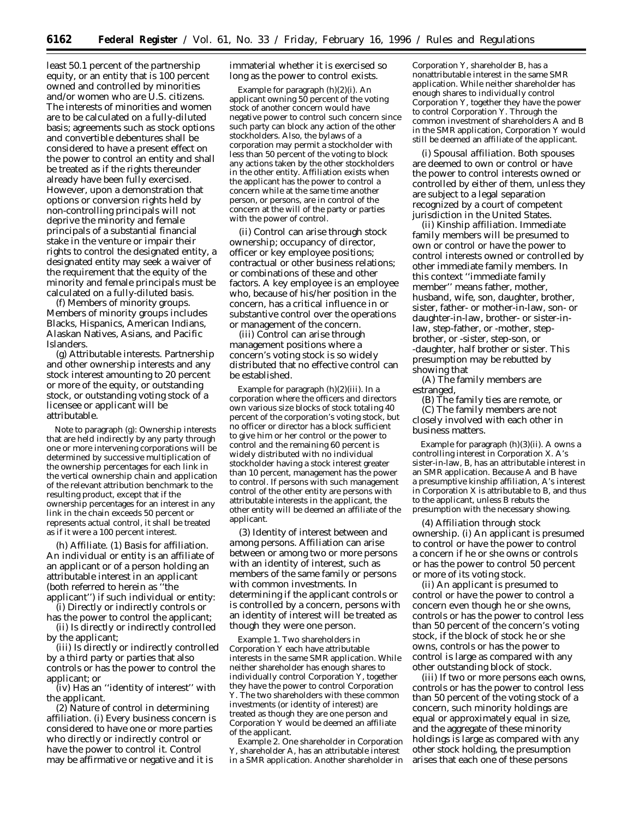least 50.1 percent of the partnership equity, or an entity that is 100 percent owned and controlled by minorities and/or women who are U.S. citizens. The interests of minorities and women are to be calculated on a fully-diluted basis; agreements such as stock options and convertible debentures shall be considered to have a present effect on the power to control an entity and shall be treated as if the rights thereunder already have been fully exercised. However, upon a demonstration that options or conversion rights held by non-controlling principals will not deprive the minority and female principals of a substantial financial stake in the venture or impair their rights to control the designated entity, a designated entity may seek a waiver of the requirement that the equity of the minority and female principals must be calculated on a fully-diluted basis.

(f) *Members of minority groups.* Members of minority groups includes Blacks, Hispanics, American Indians, Alaskan Natives, Asians, and Pacific Islanders.

(g) *Attributable interests.* Partnership and other ownership interests and any stock interest amounting to 20 percent or more of the equity, or outstanding stock, or outstanding voting stock of a licensee or applicant will be attributable.

Note to paragraph (g): Ownership interests that are held indirectly by any party through one or more intervening corporations will be determined by successive multiplication of the ownership percentages for each link in the vertical ownership chain and application of the relevant attribution benchmark to the resulting product, except that if the ownership percentages for an interest in any link in the chain exceeds 50 percent or represents actual control, it shall be treated as if it were a 100 percent interest.

(h) *Affiliate.* (1) *Basis for affiliation.* An individual or entity is an affiliate of an applicant or of a person holding an attributable interest in an applicant (both referred to herein as ''the applicant'') if such individual or entity:

(i) Directly or indirectly controls or has the power to control the applicant;

(ii) Is directly or indirectly controlled by the applicant;

(iii) Is directly or indirectly controlled by a third party or parties that also controls or has the power to control the applicant; or

(iv) Has an ''identity of interest'' with the applicant.

(2) *Nature of control in determining affiliation.* (i) Every business concern is considered to have one or more parties who directly or indirectly control or have the power to control it. Control may be affirmative or negative and it is

immaterial whether it is exercised so long as the power to control exists.

Example for paragraph (h)(2)(i). An applicant owning 50 percent of the voting stock of another concern would have negative power to control such concern since such party can block any action of the other stockholders. Also, the bylaws of a corporation may permit a stockholder with less than 50 percent of the voting to block any actions taken by the other stockholders in the other entity. Affiliation exists when the applicant has the power to control a concern while at the same time another person, or persons, are in control of the concern at the will of the party or parties with the power of control.

(ii) Control can arise through stock ownership; occupancy of director, officer or key employee positions; contractual or other business relations; or combinations of these and other factors. A key employee is an employee who, because of his/her position in the concern, has a critical influence in or substantive control over the operations or management of the concern.

(iii) Control can arise through management positions where a concern's voting stock is so widely distributed that no effective control can be established.

Example for paragraph (h)(2)(iii). In a corporation where the officers and directors own various size blocks of stock totaling 40 percent of the corporation's voting stock, but no officer or director has a block sufficient to give him or her control or the power to control and the remaining 60 percent is widely distributed with no individual stockholder having a stock interest greater than 10 percent, management has the power to control. If persons with such management control of the other entity are persons with attributable interests in the applicant, the other entity will be deemed an affiliate of the applicant.

(3) *Identity of interest between and among persons.* Affiliation can arise between or among two or more persons with an identity of interest, such as members of the same family or persons with common investments. In determining if the applicant controls or is controlled by a concern, persons with an identity of interest will be treated as though they were one person.

Example 1. Two shareholders in Corporation Y each have attributable interests in the same SMR application. While neither shareholder has enough shares to individually control Corporation Y, together they have the power to control Corporation Y. The two shareholders with these common investments (or identity of interest) are treated as though they are one person and Corporation Y would be deemed an affiliate of the applicant.

Example 2. One shareholder in Corporation Y, shareholder A, has an attributable interest in a SMR application. Another shareholder in

Corporation Y, shareholder B, has a nonattributable interest in the same SMR application. While neither shareholder has enough shares to individually control Corporation Y, together they have the power to control Corporation Y. Through the common investment of shareholders A and B in the SMR application, Corporation Y would still be deemed an affiliate of the applicant.

(i) *Spousal affiliation.* Both spouses are deemed to own or control or have the power to control interests owned or controlled by either of them, unless they are subject to a legal separation recognized by a court of competent jurisdiction in the United States.

(ii) *Kinship affiliation.* Immediate family members will be presumed to own or control or have the power to control interests owned or controlled by other immediate family members. In this context ''immediate family member'' means father, mother, husband, wife, son, daughter, brother, sister, father- or mother-in-law, son- or daughter-in-law, brother- or sister-inlaw, step-father, or -mother, stepbrother, or -sister, step-son, or -daughter, half brother or sister. This presumption may be rebutted by showing that

(A) The family members are estranged,

(B) The family ties are remote, or (C) The family members are not closely involved with each other in business matters.

Example for paragraph (h)(3)(ii). A owns a controlling interest in Corporation X. A's sister-in-law, B, has an attributable interest in an SMR application. Because A and B have a presumptive kinship affiliation, A's interest in Corporation X is attributable to B, and thus to the applicant, unless B rebuts the presumption with the necessary showing.

(4) *Affiliation through stock ownership.* (i) An applicant is presumed to control or have the power to control a concern if he or she owns or controls or has the power to control 50 percent or more of its voting stock.

(ii) An applicant is presumed to control or have the power to control a concern even though he or she owns, controls or has the power to control less than 50 percent of the concern's voting stock, if the block of stock he or she owns, controls or has the power to control is large as compared with any other outstanding block of stock.

(iii) If two or more persons each owns, controls or has the power to control less than 50 percent of the voting stock of a concern, such minority holdings are equal or approximately equal in size, and the aggregate of these minority holdings is large as compared with any other stock holding, the presumption arises that each one of these persons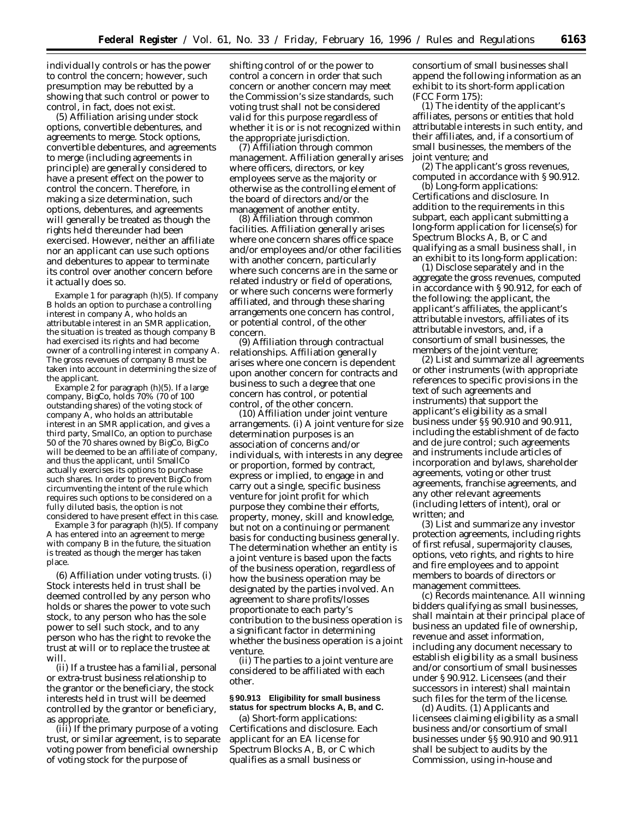individually controls or has the power to control the concern; however, such presumption may be rebutted by a showing that such control or power to control, in fact, does not exist.

(5) *Affiliation arising under stock options, convertible debentures, and agreements to merge.* Stock options, convertible debentures, and agreements to merge (including agreements in principle) are generally considered to have a present effect on the power to control the concern. Therefore, in making a size determination, such options, debentures, and agreements will generally be treated as though the rights held thereunder had been exercised. However, neither an affiliate nor an applicant can use such options and debentures to appear to terminate its control over another concern before it actually does so.

Example 1 for paragraph (h)(5). If company B holds an option to purchase a controlling interest in company A, who holds an attributable interest in an SMR application, the situation is treated as though company B had exercised its rights and had become owner of a controlling interest in company A. The gross revenues of company B must be taken into account in determining the size of the applicant.

Example 2 for paragraph (h)(5). If a large company, BigCo, holds 70% (70 of 100 outstanding shares) of the voting stock of company A, who holds an attributable interest in an SMR application, and gives a third party, SmallCo, an option to purchase 50 of the 70 shares owned by BigCo, BigCo will be deemed to be an affiliate of company, and thus the applicant, until SmallCo actually exercises its options to purchase such shares. In order to prevent BigCo from circumventing the intent of the rule which requires such options to be considered on a fully diluted basis, the option is not considered to have present effect in this case.

Example 3 for paragraph (h)(5). If company A has entered into an agreement to merge with company B in the future, the situation is treated as though the merger has taken place.

(6) *Affiliation under voting trusts.* (i) Stock interests held in trust shall be deemed controlled by any person who holds or shares the power to vote such stock, to any person who has the sole power to sell such stock, and to any person who has the right to revoke the trust at will or to replace the trustee at will.

(ii) If a trustee has a familial, personal or extra-trust business relationship to the grantor or the beneficiary, the stock interests held in trust will be deemed controlled by the grantor or beneficiary, as appropriate.

(iii) If the primary purpose of a voting trust, or similar agreement, is to separate voting power from beneficial ownership of voting stock for the purpose of

shifting control of or the power to control a concern in order that such concern or another concern may meet the Commission's size standards, such voting trust shall not be considered valid for this purpose regardless of whether it is or is not recognized within the appropriate jurisdiction.

(7) *Affiliation through common management.* Affiliation generally arises where officers, directors, or key employees serve as the majority or otherwise as the controlling element of the board of directors and/or the management of another entity.

(8) *Affiliation through common facilities.* Affiliation generally arises where one concern shares office space and/or employees and/or other facilities with another concern, particularly where such concerns are in the same or related industry or field of operations, or where such concerns were formerly affiliated, and through these sharing arrangements one concern has control, or potential control, of the other concern.

(9) *Affiliation through contractual relationships.* Affiliation generally arises where one concern is dependent upon another concern for contracts and business to such a degree that one concern has control, or potential control, of the other concern.

(10) *Affiliation under joint venture arrangements.* (i) A joint venture for size determination purposes is an association of concerns and/or individuals, with interests in any degree or proportion, formed by contract, express or implied, to engage in and carry out a single, specific business venture for joint profit for which purpose they combine their efforts, property, money, skill and knowledge, but not on a continuing or permanent basis for conducting business generally. The determination whether an entity is a joint venture is based upon the facts of the business operation, regardless of how the business operation may be designated by the parties involved. An agreement to share profits/losses proportionate to each party's contribution to the business operation is a significant factor in determining whether the business operation is a joint venture.

(ii) The parties to a joint venture are considered to be affiliated with each other.

# **§ 90.913 Eligibility for small business status for spectrum blocks A, B, and C.**

(a) *Short-form applications: Certifications and disclosure.* Each applicant for an EA license for Spectrum Blocks A, B, or C which qualifies as a small business or

consortium of small businesses shall append the following information as an exhibit to its short-form application (FCC Form 175):

(1) The identity of the applicant's affiliates, persons or entities that hold attributable interests in such entity, and their affiliates, and, if a consortium of small businesses, the members of the joint venture; and

(2) The applicant's gross revenues, computed in accordance with § 90.912.

(b) *Long-form applications: Certifications and disclosure.* In addition to the requirements in this subpart, each applicant submitting a long-form application for license(s) for Spectrum Blocks A, B, or C and qualifying as a small business shall, in an exhibit to its long-form application:

(1) Disclose separately and in the aggregate the gross revenues, computed in accordance with § 90.912, for each of the following: the applicant, the applicant's affiliates, the applicant's attributable investors, affiliates of its attributable investors, and, if a consortium of small businesses, the members of the joint venture;

(2) List and summarize all agreements or other instruments (with appropriate references to specific provisions in the text of such agreements and instruments) that support the applicant's eligibility as a small business under §§ 90.910 and 90.911, including the establishment of de facto and de jure control; such agreements and instruments include articles of incorporation and bylaws, shareholder agreements, voting or other trust agreements, franchise agreements, and any other relevant agreements (including letters of intent), oral or written; and

(3) List and summarize any investor protection agreements, including rights of first refusal, supermajority clauses, options, veto rights, and rights to hire and fire employees and to appoint members to boards of directors or management committees.

(c) *Records maintenance.* All winning bidders qualifying as small businesses, shall maintain at their principal place of business an updated file of ownership, revenue and asset information, including any document necessary to establish eligibility as a small business and/or consortium of small businesses under § 90.912. Licensees (and their successors in interest) shall maintain such files for the term of the license.

(d) *Audits.* (1) Applicants and licensees claiming eligibility as a small business and/or consortium of small businesses under §§ 90.910 and 90.911 shall be subject to audits by the Commission, using in-house and